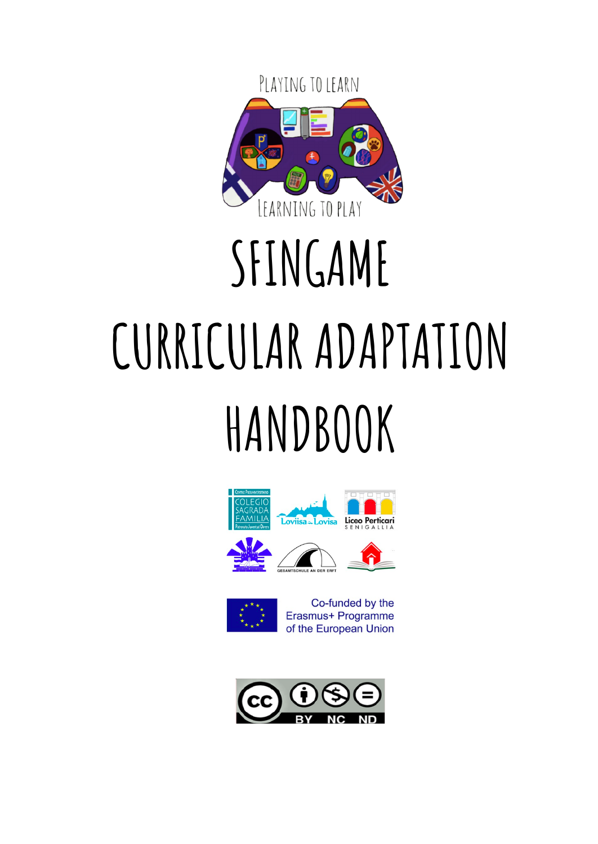

# **SFINGAME CURRICULAR ADAPTATION HANDBOOK**





Erasmus+ Programme of the European Union

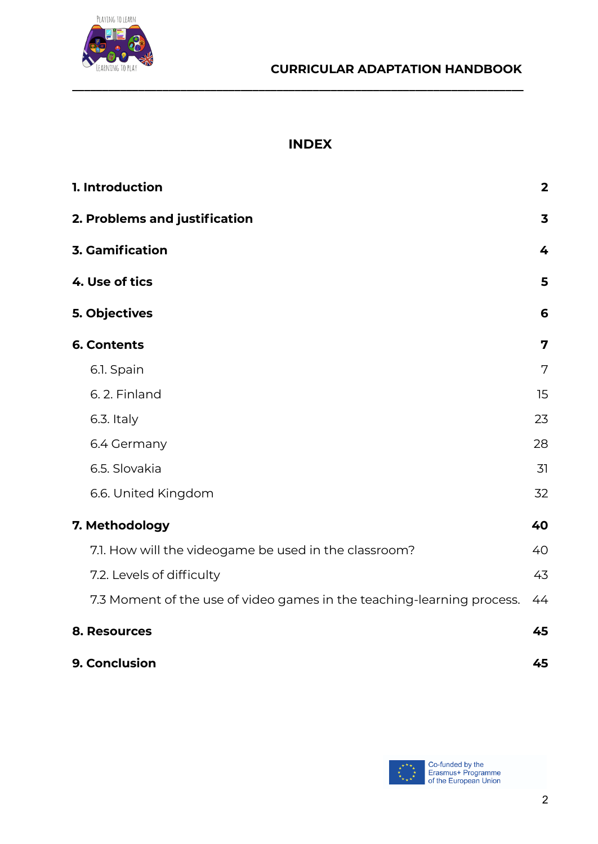



#### **INDEX**

**\_\_\_\_\_\_\_\_\_\_\_\_\_\_\_\_\_\_\_\_\_\_\_\_\_\_\_\_\_\_\_\_\_\_\_\_\_\_\_\_\_\_\_\_\_\_\_\_\_\_\_\_\_\_\_\_\_\_\_\_\_\_\_\_\_\_\_\_\_\_\_\_\_\_\_**

| 1. Introduction                                                        | $\overline{\mathbf{2}}$ |
|------------------------------------------------------------------------|-------------------------|
| 2. Problems and justification                                          | 3                       |
| <b>3. Gamification</b>                                                 | 4                       |
| 4. Use of tics                                                         | 5                       |
| 5. Objectives                                                          | 6                       |
| <b>6. Contents</b>                                                     | 7                       |
| 6.1. Spain                                                             | 7                       |
| 6.2. Finland                                                           | 15                      |
| 6.3. Italy                                                             | 23                      |
| 6.4 Germany                                                            | 28                      |
| 6.5. Slovakia                                                          | 31                      |
| 6.6. United Kingdom                                                    | 32                      |
| 7. Methodology                                                         | 40                      |
| 7.1. How will the videogame be used in the classroom?                  | 40                      |
| 7.2. Levels of difficulty                                              | 43                      |
| 7.3 Moment of the use of video games in the teaching-learning process. | 44                      |
| 8. Resources                                                           | 45                      |
| 9. Conclusion                                                          | 45                      |

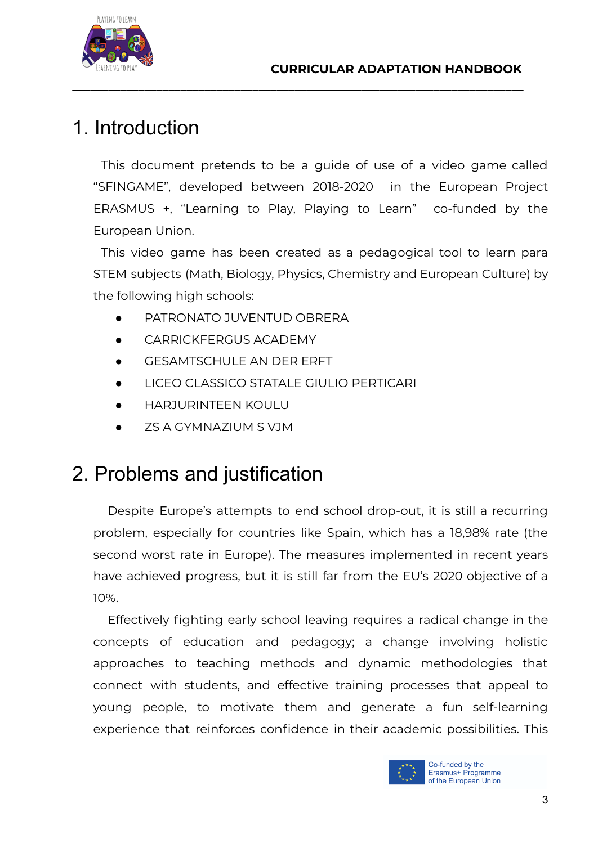



# 1. Introduction

This document pretends to be a guide of use of a video game called "SFINGAME", developed between 2018-2020 in the European Project ERASMUS +, "Learning to Play, Playing to Learn" co-funded by the European Union.

<span id="page-2-0"></span>**\_\_\_\_\_\_\_\_\_\_\_\_\_\_\_\_\_\_\_\_\_\_\_\_\_\_\_\_\_\_\_\_\_\_\_\_\_\_\_\_\_\_\_\_\_\_\_\_\_\_\_\_\_\_\_\_\_\_\_\_\_\_\_\_\_\_\_\_\_\_\_\_\_\_\_**

This video game has been created as a pedagogical tool to learn para STEM subjects (Math, Biology, Physics, Chemistry and European Culture) by the following high schools:

- PATRONATO JUVENTUD OBRERA
- CARRICKFFRGUS ACADEMY
- **GESAMTSCHULE AN DER ERFT**
- LICEO CLASSICO STATALE GIULIO PERTICARI
- **HARJURINTEEN KOULU**
- ZS A GYMNAZIUM S VJM

# <span id="page-2-1"></span>2. Problems and justification

Despite Europe's attempts to end school drop-out, it is still a recurring problem, especially for countries like Spain, which has a 18,98% rate (the second worst rate in Europe). The measures implemented in recent years have achieved progress, but it is still far from the EU's 2020 objective of a 10%.

Effectively fighting early school leaving requires a radical change in the concepts of education and pedagogy; a change involving holistic approaches to teaching methods and dynamic methodologies that connect with students, and effective training processes that appeal to young people, to motivate them and generate a fun self-learning experience that reinforces confidence in their academic possibilities. This

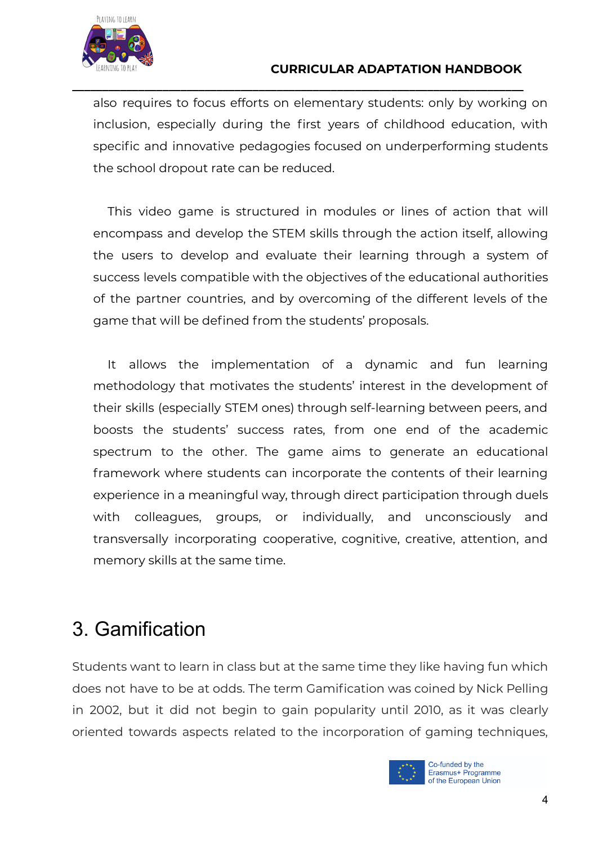

also requires to focus efforts on elementary students: only by working on inclusion, especially during the first years of childhood education, with specific and innovative pedagogies focused on underperforming students the school dropout rate can be reduced.

**\_\_\_\_\_\_\_\_\_\_\_\_\_\_\_\_\_\_\_\_\_\_\_\_\_\_\_\_\_\_\_\_\_\_\_\_\_\_\_\_\_\_\_\_\_\_\_\_\_\_\_\_\_\_\_\_\_\_\_\_\_\_\_\_\_\_\_\_\_\_\_\_\_\_\_**

This video game is structured in modules or lines of action that will encompass and develop the STEM skills through the action itself, allowing the users to develop and evaluate their learning through a system of success levels compatible with the objectives of the educational authorities of the partner countries, and by overcoming of the different levels of the game that will be defined from the students' proposals.

It allows the implementation of a dynamic and fun learning methodology that motivates the students' interest in the development of their skills (especially STEM ones) through self-learning between peers, and boosts the students' success rates, from one end of the academic spectrum to the other. The game aims to generate an educational framework where students can incorporate the contents of their learning experience in a meaningful way, through direct participation through duels with colleagues, groups, or individually, and unconsciously and transversally incorporating cooperative, cognitive, creative, attention, and memory skills at the same time.

# <span id="page-3-0"></span>3. Gamification

Students want to learn in class but at the same time they like having fun which does not have to be at odds. The term Gamification was coined by Nick Pelling in 2002, but it did not begin to gain popularity until 2010, as it was clearly oriented towards aspects related to the incorporation of gaming techniques,

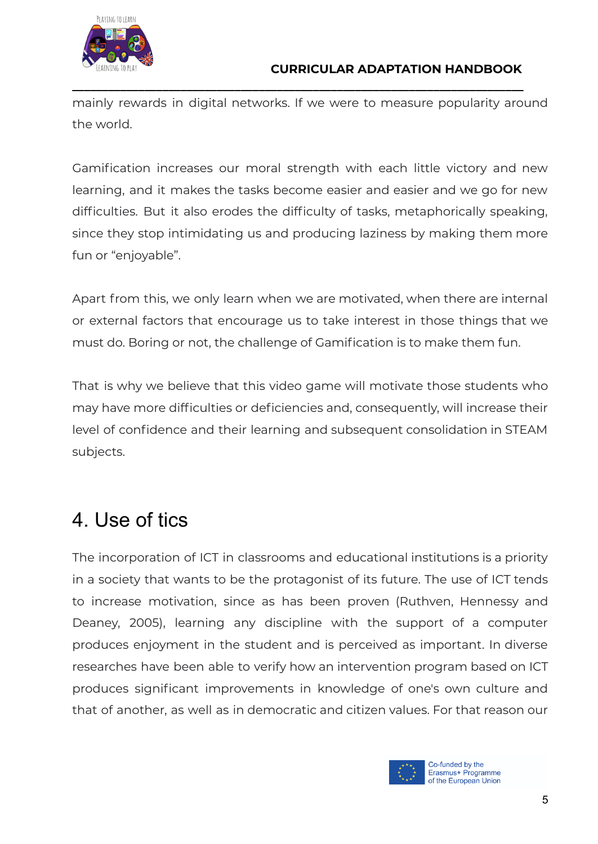

mainly rewards in digital networks. If we were to measure popularity around the world.

**\_\_\_\_\_\_\_\_\_\_\_\_\_\_\_\_\_\_\_\_\_\_\_\_\_\_\_\_\_\_\_\_\_\_\_\_\_\_\_\_\_\_\_\_\_\_\_\_\_\_\_\_\_\_\_\_\_\_\_\_\_\_\_\_\_\_\_\_\_\_\_\_\_\_\_**

Gamification increases our moral strength with each little victory and new learning, and it makes the tasks become easier and easier and we go for new difficulties. But it also erodes the difficulty of tasks, metaphorically speaking, since they stop intimidating us and producing laziness by making them more fun or "enjoyable".

Apart from this, we only learn when we are motivated, when there are internal or external factors that encourage us to take interest in those things that we must do. Boring or not, the challenge of Gamification is to make them fun.

That is why we believe that this video game will motivate those students who may have more difficulties or deficiencies and, consequently, will increase their level of confidence and their learning and subsequent consolidation in STEAM subjects.

# <span id="page-4-0"></span>4. Use of tics

The incorporation of ICT in classrooms and educational institutions is a priority in a society that wants to be the protagonist of its future. The use of ICT tends to increase motivation, since as has been proven (Ruthven, Hennessy and Deaney, 2005), learning any discipline with the support of a computer produces enjoyment in the student and is perceived as important. In diverse researches have been able to verify how an intervention program based on ICT produces significant improvements in knowledge of one's own culture and that of another, as well as in democratic and citizen values. For that reason our

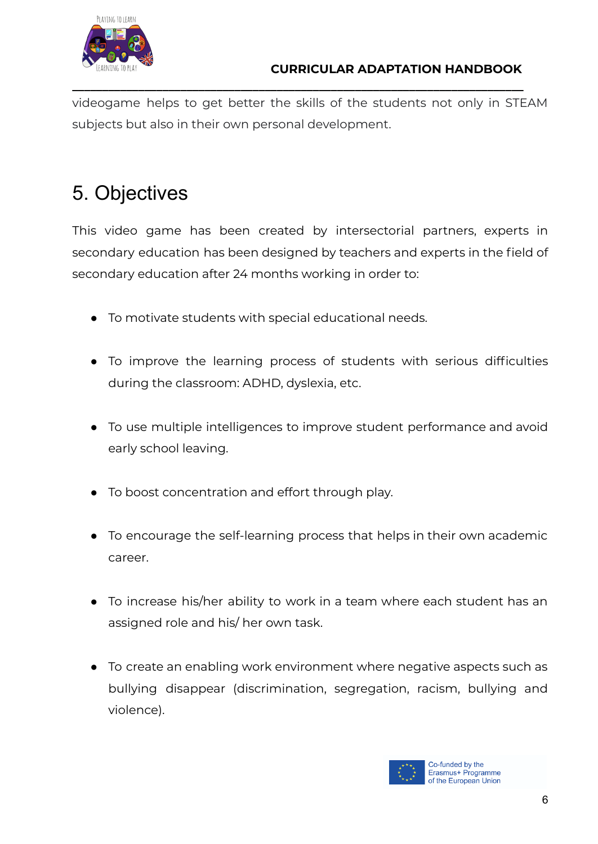

videogame helps to get better the skills of the students not only in STEAM subjects but also in their own personal development.

**\_\_\_\_\_\_\_\_\_\_\_\_\_\_\_\_\_\_\_\_\_\_\_\_\_\_\_\_\_\_\_\_\_\_\_\_\_\_\_\_\_\_\_\_\_\_\_\_\_\_\_\_\_\_\_\_\_\_\_\_\_\_\_\_\_\_\_\_\_\_\_\_\_\_\_**

# <span id="page-5-0"></span>5. Objectives

This video game has been created by intersectorial partners, experts in secondary education has been designed by teachers and experts in the field of secondary education after 24 months working in order to:

- To motivate students with special educational needs.
- To improve the learning process of students with serious difficulties during the classroom: ADHD, dyslexia, etc.
- To use multiple intelligences to improve student performance and avoid early school leaving.
- To boost concentration and effort through play.
- To encourage the self-learning process that helps in their own academic career.
- To increase his/her ability to work in a team where each student has an assigned role and his/ her own task.
- To create an enabling work environment where negative aspects such as bullying disappear (discrimination, segregation, racism, bullying and violence).

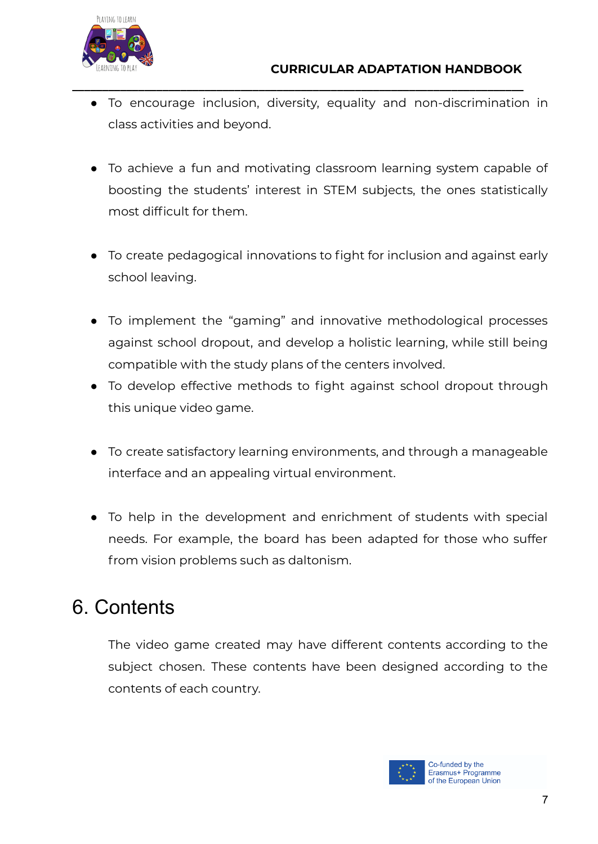

● To encourage inclusion, diversity, equality and non-discrimination in class activities and beyond.

**\_\_\_\_\_\_\_\_\_\_\_\_\_\_\_\_\_\_\_\_\_\_\_\_\_\_\_\_\_\_\_\_\_\_\_\_\_\_\_\_\_\_\_\_\_\_\_\_\_\_\_\_\_\_\_\_\_\_\_\_\_\_\_\_\_\_\_\_\_\_\_\_\_\_\_**

- To achieve a fun and motivating classroom learning system capable of boosting the students' interest in STEM subjects, the ones statistically most difficult for them.
- To create pedagogical innovations to fight for inclusion and against early school leaving.
- To implement the "gaming" and innovative methodological processes against school dropout, and develop a holistic learning, while still being compatible with the study plans of the centers involved.
- To develop effective methods to fight against school dropout through this unique video game.
- To create satisfactory learning environments, and through a manageable interface and an appealing virtual environment.
- To help in the development and enrichment of students with special needs. For example, the board has been adapted for those who suffer from vision problems such as daltonism.

# <span id="page-6-0"></span>6. Contents

The video game created may have different contents according to the subject chosen. These contents have been designed according to the contents of each country.

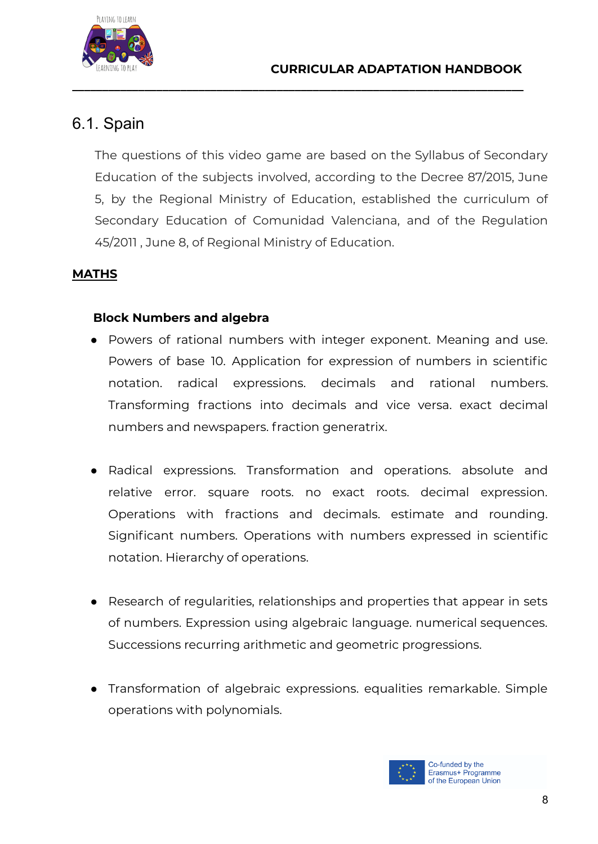

## 6.1. Spain

The questions of this video game are based on the Syllabus of Secondary Education of the subjects involved, according to the Decree 87/2015, June 5, by the Regional Ministry of Education, established the curriculum of Secondary Education of Comunidad Valenciana, and of the Regulation 45/2011 , June 8, of Regional Ministry of Education.

<span id="page-7-0"></span>**\_\_\_\_\_\_\_\_\_\_\_\_\_\_\_\_\_\_\_\_\_\_\_\_\_\_\_\_\_\_\_\_\_\_\_\_\_\_\_\_\_\_\_\_\_\_\_\_\_\_\_\_\_\_\_\_\_\_\_\_\_\_\_\_\_\_\_\_\_\_\_\_\_\_\_**

#### **MATHS**

#### **Block Numbers and algebra**

- Powers of rational numbers with integer exponent. Meaning and use. Powers of base 10. Application for expression of numbers in scientific notation. radical expressions. decimals and rational numbers. Transforming fractions into decimals and vice versa. exact decimal numbers and newspapers. fraction generatrix.
- Radical expressions. Transformation and operations. absolute and relative error. square roots. no exact roots. decimal expression. Operations with fractions and decimals. estimate and rounding. Significant numbers. Operations with numbers expressed in scientific notation. Hierarchy of operations.
- Research of regularities, relationships and properties that appear in sets of numbers. Expression using algebraic language. numerical sequences. Successions recurring arithmetic and geometric progressions.
- Transformation of algebraic expressions. equalities remarkable. Simple operations with polynomials.

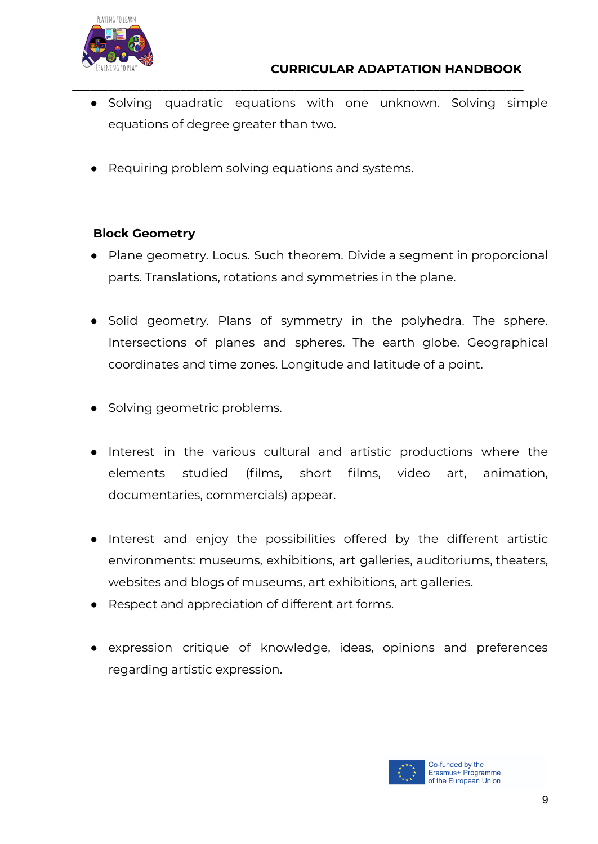

● Solving quadratic equations with one unknown. Solving simple equations of degree greater than two.

**\_\_\_\_\_\_\_\_\_\_\_\_\_\_\_\_\_\_\_\_\_\_\_\_\_\_\_\_\_\_\_\_\_\_\_\_\_\_\_\_\_\_\_\_\_\_\_\_\_\_\_\_\_\_\_\_\_\_\_\_\_\_\_\_\_\_\_\_\_\_\_\_\_\_\_**

● Requiring problem solving equations and systems.

#### **Block Geometry**

- Plane geometry. Locus. Such theorem. Divide a segment in proporcional parts. Translations, rotations and symmetries in the plane.
- Solid geometry. Plans of symmetry in the polyhedra. The sphere. Intersections of planes and spheres. The earth globe. Geographical coordinates and time zones. Longitude and latitude of a point.
- Solving geometric problems.
- Interest in the various cultural and artistic productions where the elements studied (films, short films, video art, animation, documentaries, commercials) appear.
- Interest and enjoy the possibilities offered by the different artistic environments: museums, exhibitions, art galleries, auditoriums, theaters, websites and blogs of museums, art exhibitions, art galleries.
- Respect and appreciation of different art forms.
- expression critique of knowledge, ideas, opinions and preferences regarding artistic expression.

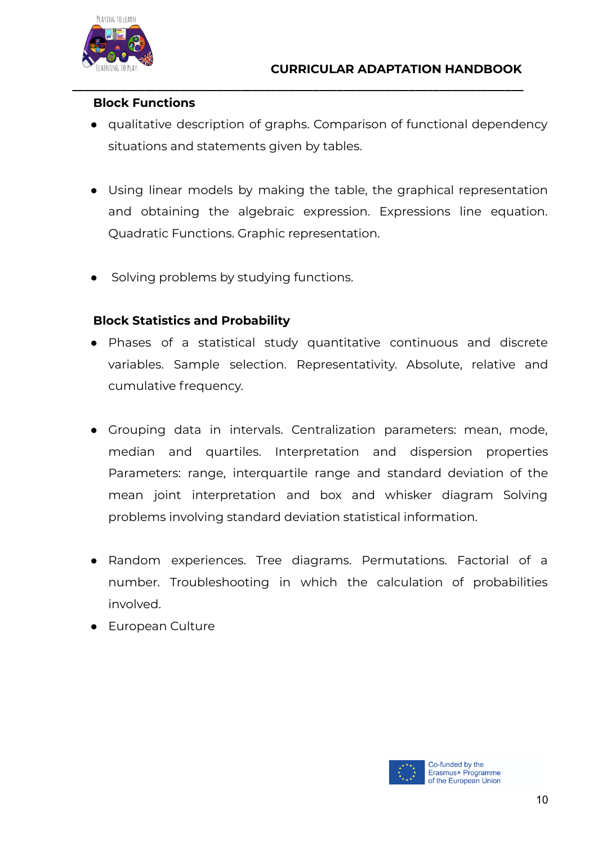

#### **Block Functions**

● qualitative description of graphs. Comparison of functional dependency situations and statements given by tables.

**\_\_\_\_\_\_\_\_\_\_\_\_\_\_\_\_\_\_\_\_\_\_\_\_\_\_\_\_\_\_\_\_\_\_\_\_\_\_\_\_\_\_\_\_\_\_\_\_\_\_\_\_\_\_\_\_\_\_\_\_\_\_\_\_\_\_\_\_\_\_\_\_\_\_\_**

- Using linear models by making the table, the graphical representation and obtaining the algebraic expression. Expressions line equation. Quadratic Functions. Graphic representation.
- Solving problems by studying functions.

#### **Block Statistics and Probability**

- Phases of a statistical study quantitative continuous and discrete variables. Sample selection. Representativity. Absolute, relative and cumulative frequency.
- Grouping data in intervals. Centralization parameters: mean, mode, median and quartiles. Interpretation and dispersion properties Parameters: range, interquartile range and standard deviation of the mean joint interpretation and box and whisker diagram Solving problems involving standard deviation statistical information.
- Random experiences. Tree diagrams. Permutations. Factorial of a number. Troubleshooting in which the calculation of probabilities involved.
- European Culture

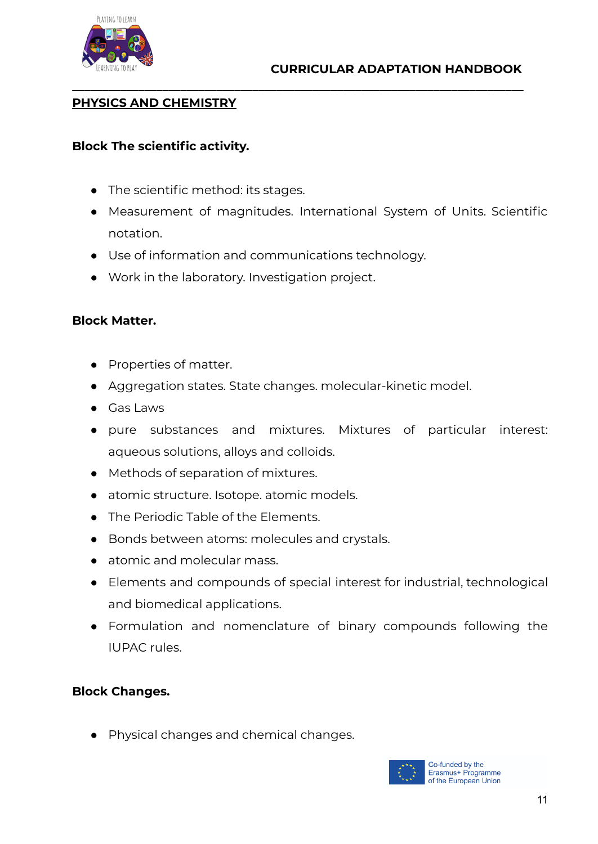

#### **PHYSICS AND CHEMISTRY**

#### **Block The scientific activity.**

- The scientific method: its stages.
- Measurement of magnitudes. International System of Units. Scientific notation.

**\_\_\_\_\_\_\_\_\_\_\_\_\_\_\_\_\_\_\_\_\_\_\_\_\_\_\_\_\_\_\_\_\_\_\_\_\_\_\_\_\_\_\_\_\_\_\_\_\_\_\_\_\_\_\_\_\_\_\_\_\_\_\_\_\_\_\_\_\_\_\_\_\_\_\_**

- Use of information and communications technology.
- Work in the laboratory. Investigation project.

#### **Block Matter.**

- Properties of matter.
- Aggregation states. State changes. molecular-kinetic model.
- Gas Laws
- pure substances and mixtures. Mixtures of particular interest: aqueous solutions, alloys and colloids.
- Methods of separation of mixtures.
- atomic structure. Isotope. atomic models.
- The Periodic Table of the Elements.
- Bonds between atoms: molecules and crystals.
- atomic and molecular mass.
- Elements and compounds of special interest for industrial, technological and biomedical applications.
- Formulation and nomenclature of binary compounds following the IUPAC rules.

#### **Block Changes.**

● Physical changes and chemical changes.

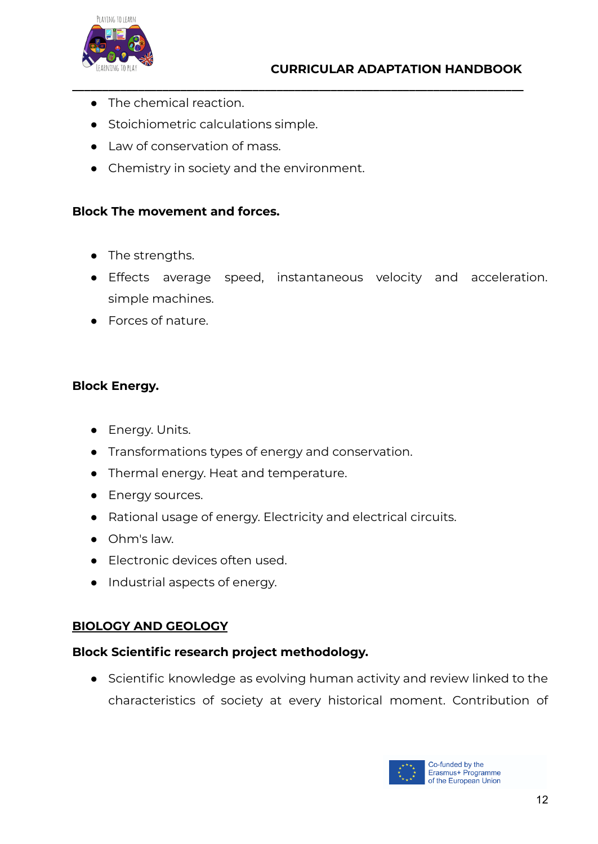

- The chemical reaction.
- Stoichiometric calculations simple.
- Law of conservation of mass.
- Chemistry in society and the environment.

#### **Block The movement and forces.**

- The strengths.
- Effects average speed, instantaneous velocity and acceleration. simple machines.

**\_\_\_\_\_\_\_\_\_\_\_\_\_\_\_\_\_\_\_\_\_\_\_\_\_\_\_\_\_\_\_\_\_\_\_\_\_\_\_\_\_\_\_\_\_\_\_\_\_\_\_\_\_\_\_\_\_\_\_\_\_\_\_\_\_\_\_\_\_\_\_\_\_\_\_**

● Forces of nature.

#### **Block Energy.**

- Energy. Units.
- Transformations types of energy and conservation.
- Thermal energy. Heat and temperature.
- Energy sources.
- Rational usage of energy. Electricity and electrical circuits.
- Ohm's law.
- Electronic devices often used.
- Industrial aspects of energy.

#### **BIOLOGY AND GEOLOGY**

#### **Block Scientific research project methodology.**

● Scientific knowledge as evolving human activity and review linked to the characteristics of society at every historical moment. Contribution of

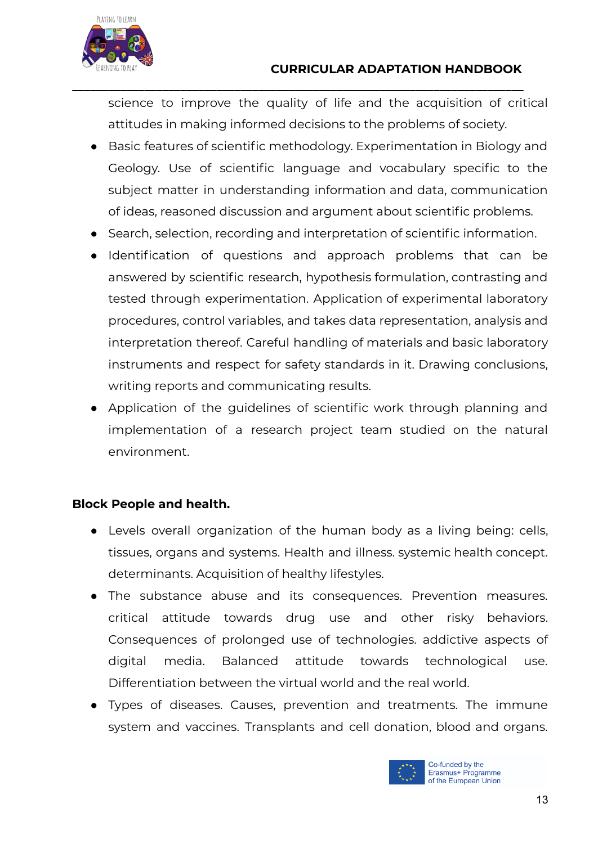

science to improve the quality of life and the acquisition of critical attitudes in making informed decisions to the problems of society.

**\_\_\_\_\_\_\_\_\_\_\_\_\_\_\_\_\_\_\_\_\_\_\_\_\_\_\_\_\_\_\_\_\_\_\_\_\_\_\_\_\_\_\_\_\_\_\_\_\_\_\_\_\_\_\_\_\_\_\_\_\_\_\_\_\_\_\_\_\_\_\_\_\_\_\_**

- Basic features of scientific methodology. Experimentation in Biology and Geology. Use of scientific language and vocabulary specific to the subject matter in understanding information and data, communication of ideas, reasoned discussion and argument about scientific problems.
- Search, selection, recording and interpretation of scientific information.
- Identification of questions and approach problems that can be answered by scientific research, hypothesis formulation, contrasting and tested through experimentation. Application of experimental laboratory procedures, control variables, and takes data representation, analysis and interpretation thereof. Careful handling of materials and basic laboratory instruments and respect for safety standards in it. Drawing conclusions, writing reports and communicating results.
- Application of the guidelines of scientific work through planning and implementation of a research project team studied on the natural environment.

#### **Block People and health.**

- Levels overall organization of the human body as a living being: cells, tissues, organs and systems. Health and illness. systemic health concept. determinants. Acquisition of healthy lifestyles.
- The substance abuse and its consequences. Prevention measures. critical attitude towards drug use and other risky behaviors. Consequences of prolonged use of technologies. addictive aspects of digital media. Balanced attitude towards technological use. Differentiation between the virtual world and the real world.
- Types of diseases. Causes, prevention and treatments. The immune system and vaccines. Transplants and cell donation, blood and organs.

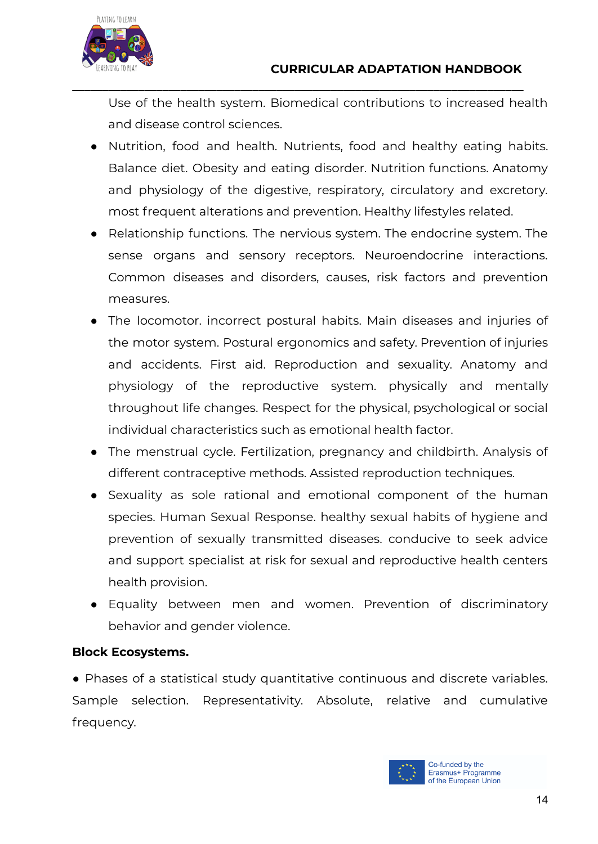

Use of the health system. Biomedical contributions to increased health and disease control sciences.

**\_\_\_\_\_\_\_\_\_\_\_\_\_\_\_\_\_\_\_\_\_\_\_\_\_\_\_\_\_\_\_\_\_\_\_\_\_\_\_\_\_\_\_\_\_\_\_\_\_\_\_\_\_\_\_\_\_\_\_\_\_\_\_\_\_\_\_\_\_\_\_\_\_\_\_**

- Nutrition, food and health. Nutrients, food and healthy eating habits. Balance diet. Obesity and eating disorder. Nutrition functions. Anatomy and physiology of the digestive, respiratory, circulatory and excretory. most frequent alterations and prevention. Healthy lifestyles related.
- Relationship functions. The nervious system. The endocrine system. The sense organs and sensory receptors. Neuroendocrine interactions. Common diseases and disorders, causes, risk factors and prevention measures.
- The locomotor. incorrect postural habits. Main diseases and injuries of the motor system. Postural ergonomics and safety. Prevention of injuries and accidents. First aid. Reproduction and sexuality. Anatomy and physiology of the reproductive system. physically and mentally throughout life changes. Respect for the physical, psychological or social individual characteristics such as emotional health factor.
- The menstrual cycle. Fertilization, pregnancy and childbirth. Analysis of different contraceptive methods. Assisted reproduction techniques.
- Sexuality as sole rational and emotional component of the human species. Human Sexual Response. healthy sexual habits of hygiene and prevention of sexually transmitted diseases. conducive to seek advice and support specialist at risk for sexual and reproductive health centers health provision.
- Equality between men and women. Prevention of discriminatory behavior and gender violence.

#### **Block Ecosystems.**

● Phases of a statistical study quantitative continuous and discrete variables. Sample selection. Representativity. Absolute, relative and cumulative frequency.

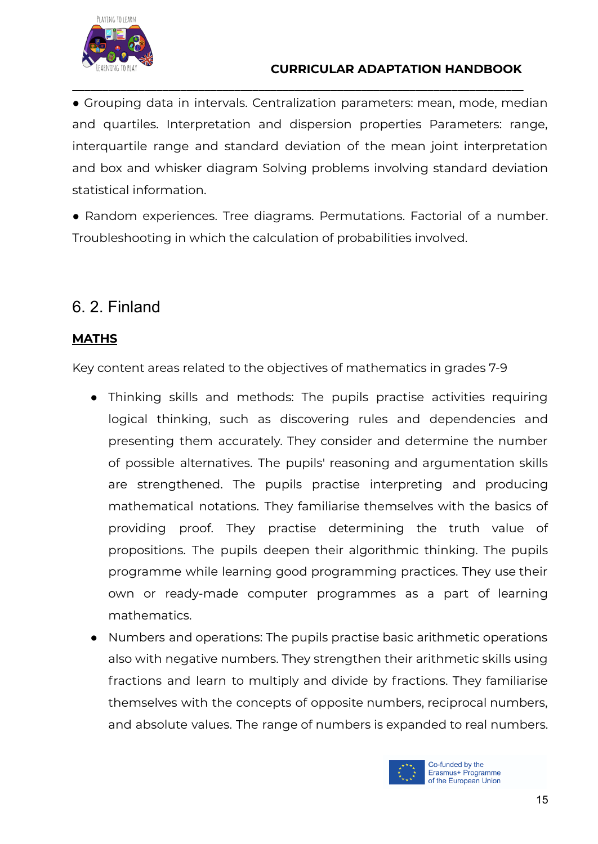

● Grouping data in intervals. Centralization parameters: mean, mode, median and quartiles. Interpretation and dispersion properties Parameters: range, interquartile range and standard deviation of the mean joint interpretation and box and whisker diagram Solving problems involving standard deviation statistical information.

**\_\_\_\_\_\_\_\_\_\_\_\_\_\_\_\_\_\_\_\_\_\_\_\_\_\_\_\_\_\_\_\_\_\_\_\_\_\_\_\_\_\_\_\_\_\_\_\_\_\_\_\_\_\_\_\_\_\_\_\_\_\_\_\_\_\_\_\_\_\_\_\_\_\_\_**

● Random experiences. Tree diagrams. Permutations. Factorial of a number. Troubleshooting in which the calculation of probabilities involved.

# <span id="page-14-0"></span>6. 2. Finland

#### **MATHS**

Key content areas related to the objectives of mathematics in grades 7-9

- Thinking skills and methods: The pupils practise activities requiring logical thinking, such as discovering rules and dependencies and presenting them accurately. They consider and determine the number of possible alternatives. The pupils' reasoning and argumentation skills are strengthened. The pupils practise interpreting and producing mathematical notations. They familiarise themselves with the basics of providing proof. They practise determining the truth value of propositions. The pupils deepen their algorithmic thinking. The pupils programme while learning good programming practices. They use their own or ready-made computer programmes as a part of learning mathematics.
- Numbers and operations: The pupils practise basic arithmetic operations also with negative numbers. They strengthen their arithmetic skills using fractions and learn to multiply and divide by fractions. They familiarise themselves with the concepts of opposite numbers, reciprocal numbers, and absolute values. The range of numbers is expanded to real numbers.

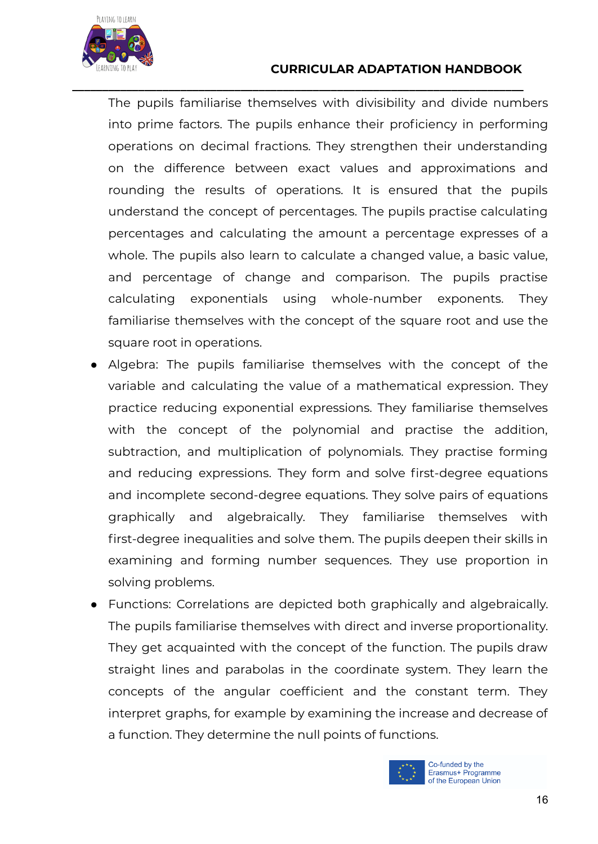

#### **CURRICULAR ADAPTATION HANDBOOK**

The pupils familiarise themselves with divisibility and divide numbers into prime factors. The pupils enhance their proficiency in performing operations on decimal fractions. They strengthen their understanding on the difference between exact values and approximations and rounding the results of operations. It is ensured that the pupils understand the concept of percentages. The pupils practise calculating percentages and calculating the amount a percentage expresses of a whole. The pupils also learn to calculate a changed value, a basic value, and percentage of change and comparison. The pupils practise calculating exponentials using whole-number exponents. They familiarise themselves with the concept of the square root and use the square root in operations.

**\_\_\_\_\_\_\_\_\_\_\_\_\_\_\_\_\_\_\_\_\_\_\_\_\_\_\_\_\_\_\_\_\_\_\_\_\_\_\_\_\_\_\_\_\_\_\_\_\_\_\_\_\_\_\_\_\_\_\_\_\_\_\_\_\_\_\_\_\_\_\_\_\_\_\_**

- Algebra: The pupils familiarise themselves with the concept of the variable and calculating the value of a mathematical expression. They practice reducing exponential expressions. They familiarise themselves with the concept of the polynomial and practise the addition, subtraction, and multiplication of polynomials. They practise forming and reducing expressions. They form and solve first-degree equations and incomplete second-degree equations. They solve pairs of equations graphically and algebraically. They familiarise themselves with first-degree inequalities and solve them. The pupils deepen their skills in examining and forming number sequences. They use proportion in solving problems.
- Functions: Correlations are depicted both graphically and algebraically. The pupils familiarise themselves with direct and inverse proportionality. They get acquainted with the concept of the function. The pupils draw straight lines and parabolas in the coordinate system. They learn the concepts of the angular coefficient and the constant term. They interpret graphs, for example by examining the increase and decrease of a function. They determine the null points of functions.

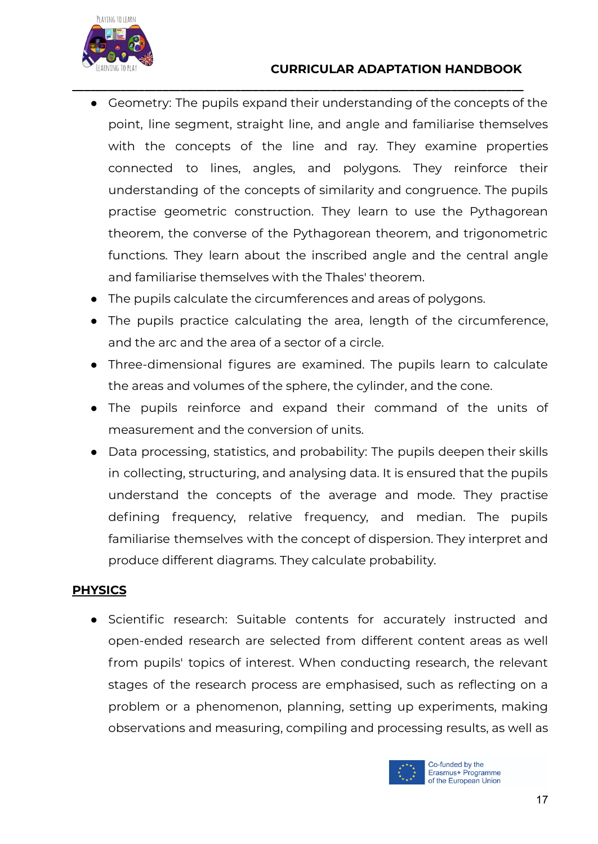



● Geometry: The pupils expand their understanding of the concepts of the point, line segment, straight line, and angle and familiarise themselves with the concepts of the line and ray. They examine properties connected to lines, angles, and polygons. They reinforce their understanding of the concepts of similarity and congruence. The pupils practise geometric construction. They learn to use the Pythagorean theorem, the converse of the Pythagorean theorem, and trigonometric functions. They learn about the inscribed angle and the central angle and familiarise themselves with the Thales' theorem.

**\_\_\_\_\_\_\_\_\_\_\_\_\_\_\_\_\_\_\_\_\_\_\_\_\_\_\_\_\_\_\_\_\_\_\_\_\_\_\_\_\_\_\_\_\_\_\_\_\_\_\_\_\_\_\_\_\_\_\_\_\_\_\_\_\_\_\_\_\_\_\_\_\_\_\_**

- The pupils calculate the circumferences and areas of polygons.
- The pupils practice calculating the area, length of the circumference, and the arc and the area of a sector of a circle.
- Three-dimensional figures are examined. The pupils learn to calculate the areas and volumes of the sphere, the cylinder, and the cone.
- The pupils reinforce and expand their command of the units of measurement and the conversion of units.
- Data processing, statistics, and probability: The pupils deepen their skills in collecting, structuring, and analysing data. It is ensured that the pupils understand the concepts of the average and mode. They practise defining frequency, relative frequency, and median. The pupils familiarise themselves with the concept of dispersion. They interpret and produce different diagrams. They calculate probability.

#### **PHYSICS**

● Scientific research: Suitable contents for accurately instructed and open-ended research are selected from different content areas as well from pupils' topics of interest. When conducting research, the relevant stages of the research process are emphasised, such as reflecting on a problem or a phenomenon, planning, setting up experiments, making observations and measuring, compiling and processing results, as well as

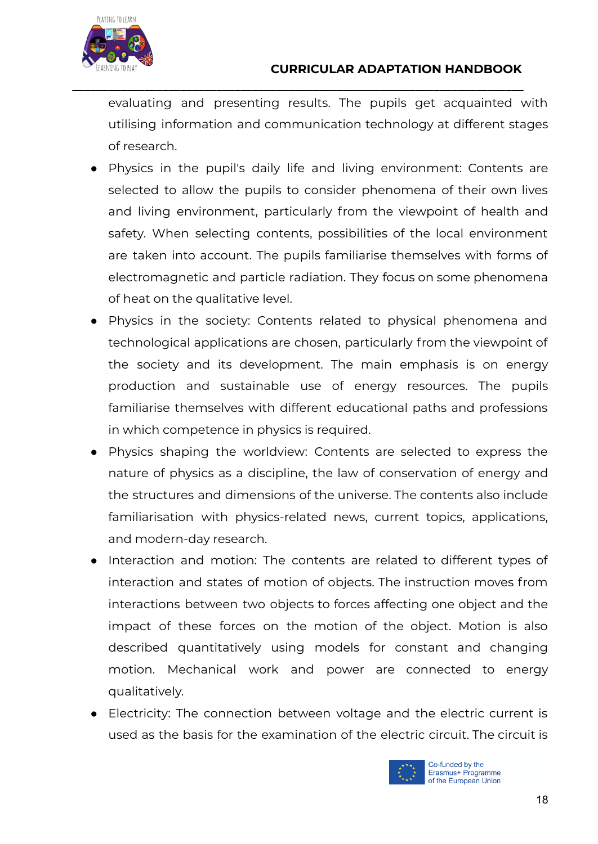

evaluating and presenting results. The pupils get acquainted with utilising information and communication technology at different stages of research.

**\_\_\_\_\_\_\_\_\_\_\_\_\_\_\_\_\_\_\_\_\_\_\_\_\_\_\_\_\_\_\_\_\_\_\_\_\_\_\_\_\_\_\_\_\_\_\_\_\_\_\_\_\_\_\_\_\_\_\_\_\_\_\_\_\_\_\_\_\_\_\_\_\_\_\_**

- Physics in the pupil's daily life and living environment: Contents are selected to allow the pupils to consider phenomena of their own lives and living environment, particularly from the viewpoint of health and safety. When selecting contents, possibilities of the local environment are taken into account. The pupils familiarise themselves with forms of electromagnetic and particle radiation. They focus on some phenomena of heat on the qualitative level.
- Physics in the society: Contents related to physical phenomena and technological applications are chosen, particularly from the viewpoint of the society and its development. The main emphasis is on energy production and sustainable use of energy resources. The pupils familiarise themselves with different educational paths and professions in which competence in physics is required.
- Physics shaping the worldview: Contents are selected to express the nature of physics as a discipline, the law of conservation of energy and the structures and dimensions of the universe. The contents also include familiarisation with physics-related news, current topics, applications, and modern-day research.
- Interaction and motion: The contents are related to different types of interaction and states of motion of objects. The instruction moves from interactions between two objects to forces affecting one object and the impact of these forces on the motion of the object. Motion is also described quantitatively using models for constant and changing motion. Mechanical work and power are connected to energy qualitatively.
- Electricity: The connection between voltage and the electric current is used as the basis for the examination of the electric circuit. The circuit is

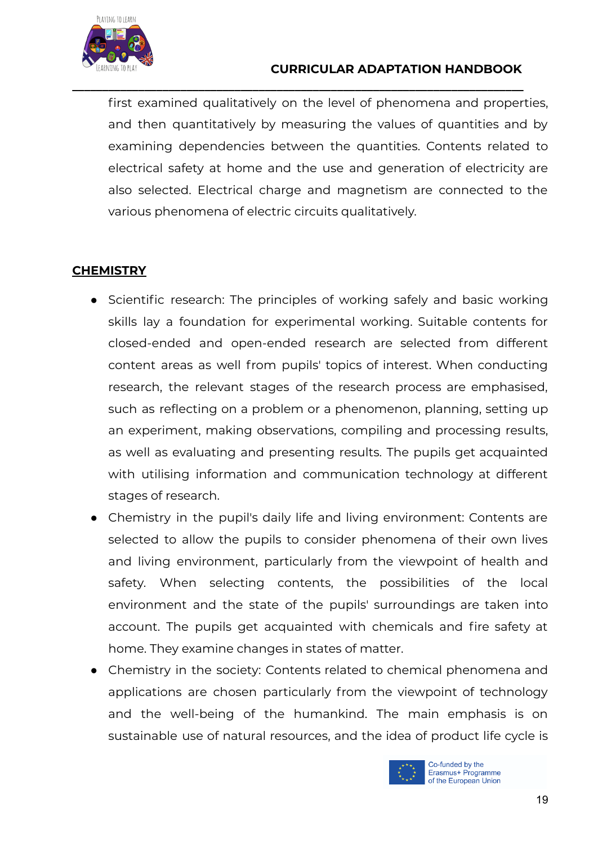

#### **CURRICULAR ADAPTATION HANDBOOK**

first examined qualitatively on the level of phenomena and properties, and then quantitatively by measuring the values of quantities and by examining dependencies between the quantities. Contents related to electrical safety at home and the use and generation of electricity are also selected. Electrical charge and magnetism are connected to the various phenomena of electric circuits qualitatively.

**\_\_\_\_\_\_\_\_\_\_\_\_\_\_\_\_\_\_\_\_\_\_\_\_\_\_\_\_\_\_\_\_\_\_\_\_\_\_\_\_\_\_\_\_\_\_\_\_\_\_\_\_\_\_\_\_\_\_\_\_\_\_\_\_\_\_\_\_\_\_\_\_\_\_\_**

#### **CHEMISTRY**

- Scientific research: The principles of working safely and basic working skills lay a foundation for experimental working. Suitable contents for closed-ended and open-ended research are selected from different content areas as well from pupils' topics of interest. When conducting research, the relevant stages of the research process are emphasised, such as reflecting on a problem or a phenomenon, planning, setting up an experiment, making observations, compiling and processing results, as well as evaluating and presenting results. The pupils get acquainted with utilising information and communication technology at different stages of research.
- Chemistry in the pupil's daily life and living environment: Contents are selected to allow the pupils to consider phenomena of their own lives and living environment, particularly from the viewpoint of health and safety. When selecting contents, the possibilities of the local environment and the state of the pupils' surroundings are taken into account. The pupils get acquainted with chemicals and fire safety at home. They examine changes in states of matter.
- Chemistry in the society: Contents related to chemical phenomena and applications are chosen particularly from the viewpoint of technology and the well-being of the humankind. The main emphasis is on sustainable use of natural resources, and the idea of product life cycle is

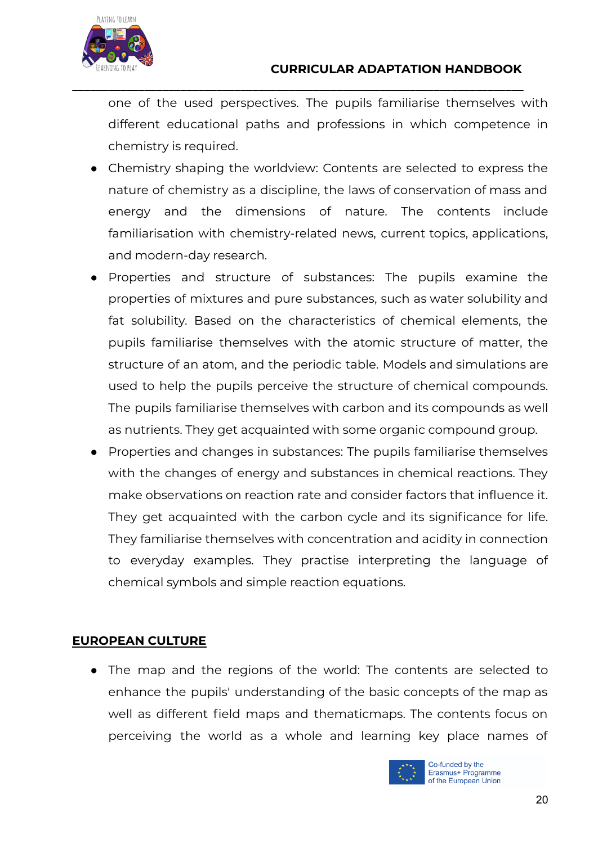

one of the used perspectives. The pupils familiarise themselves with different educational paths and professions in which competence in chemistry is required.

**\_\_\_\_\_\_\_\_\_\_\_\_\_\_\_\_\_\_\_\_\_\_\_\_\_\_\_\_\_\_\_\_\_\_\_\_\_\_\_\_\_\_\_\_\_\_\_\_\_\_\_\_\_\_\_\_\_\_\_\_\_\_\_\_\_\_\_\_\_\_\_\_\_\_\_**

- Chemistry shaping the worldview: Contents are selected to express the nature of chemistry as a discipline, the laws of conservation of mass and energy and the dimensions of nature. The contents include familiarisation with chemistry-related news, current topics, applications, and modern-day research.
- Properties and structure of substances: The pupils examine the properties of mixtures and pure substances, such as water solubility and fat solubility. Based on the characteristics of chemical elements, the pupils familiarise themselves with the atomic structure of matter, the structure of an atom, and the periodic table. Models and simulations are used to help the pupils perceive the structure of chemical compounds. The pupils familiarise themselves with carbon and its compounds as well as nutrients. They get acquainted with some organic compound group.
- Properties and changes in substances: The pupils familiarise themselves with the changes of energy and substances in chemical reactions. They make observations on reaction rate and consider factors that influence it. They get acquainted with the carbon cycle and its significance for life. They familiarise themselves with concentration and acidity in connection to everyday examples. They practise interpreting the language of chemical symbols and simple reaction equations.

#### **EUROPEAN CULTURE**

• The map and the regions of the world: The contents are selected to enhance the pupils' understanding of the basic concepts of the map as well as different field maps and thematicmaps. The contents focus on perceiving the world as a whole and learning key place names of

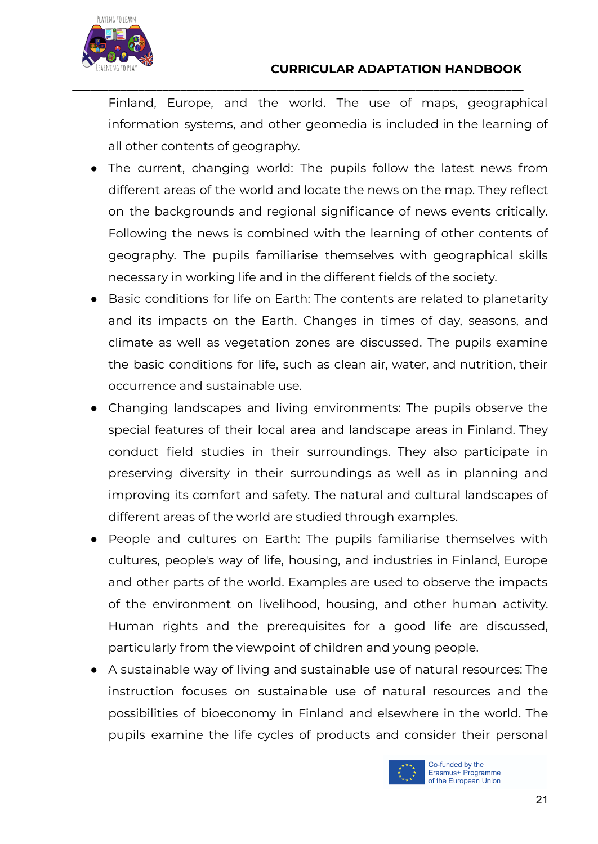

Finland, Europe, and the world. The use of maps, geographical information systems, and other geomedia is included in the learning of all other contents of geography.

**\_\_\_\_\_\_\_\_\_\_\_\_\_\_\_\_\_\_\_\_\_\_\_\_\_\_\_\_\_\_\_\_\_\_\_\_\_\_\_\_\_\_\_\_\_\_\_\_\_\_\_\_\_\_\_\_\_\_\_\_\_\_\_\_\_\_\_\_\_\_\_\_\_\_\_**

- The current, changing world: The pupils follow the latest news from different areas of the world and locate the news on the map. They reflect on the backgrounds and regional significance of news events critically. Following the news is combined with the learning of other contents of geography. The pupils familiarise themselves with geographical skills necessary in working life and in the different fields of the society.
- Basic conditions for life on Earth: The contents are related to planetarity and its impacts on the Earth. Changes in times of day, seasons, and climate as well as vegetation zones are discussed. The pupils examine the basic conditions for life, such as clean air, water, and nutrition, their occurrence and sustainable use.
- Changing landscapes and living environments: The pupils observe the special features of their local area and landscape areas in Finland. They conduct field studies in their surroundings. They also participate in preserving diversity in their surroundings as well as in planning and improving its comfort and safety. The natural and cultural landscapes of different areas of the world are studied through examples.
- People and cultures on Earth: The pupils familiarise themselves with cultures, people's way of life, housing, and industries in Finland, Europe and other parts of the world. Examples are used to observe the impacts of the environment on livelihood, housing, and other human activity. Human rights and the prerequisites for a good life are discussed, particularly from the viewpoint of children and young people.
- A sustainable way of living and sustainable use of natural resources: The instruction focuses on sustainable use of natural resources and the possibilities of bioeconomy in Finland and elsewhere in the world. The pupils examine the life cycles of products and consider their personal

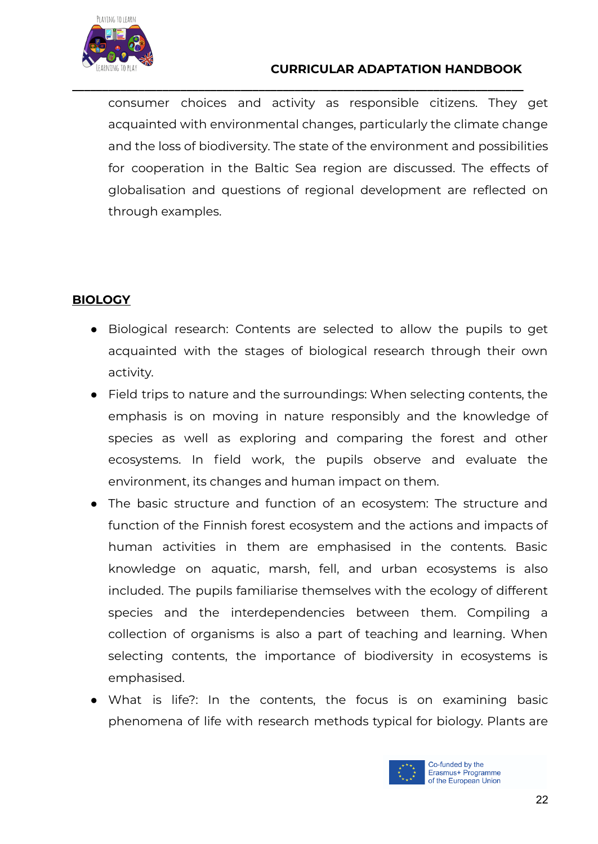

#### **CURRICULAR ADAPTATION HANDBOOK**

consumer choices and activity as responsible citizens. They get acquainted with environmental changes, particularly the climate change and the loss of biodiversity. The state of the environment and possibilities for cooperation in the Baltic Sea region are discussed. The effects of globalisation and questions of regional development are reflected on through examples.

**\_\_\_\_\_\_\_\_\_\_\_\_\_\_\_\_\_\_\_\_\_\_\_\_\_\_\_\_\_\_\_\_\_\_\_\_\_\_\_\_\_\_\_\_\_\_\_\_\_\_\_\_\_\_\_\_\_\_\_\_\_\_\_\_\_\_\_\_\_\_\_\_\_\_\_**

#### **BIOLOGY**

- Biological research: Contents are selected to allow the pupils to get acquainted with the stages of biological research through their own activity.
- Field trips to nature and the surroundings: When selecting contents, the emphasis is on moving in nature responsibly and the knowledge of species as well as exploring and comparing the forest and other ecosystems. In field work, the pupils observe and evaluate the environment, its changes and human impact on them.
- The basic structure and function of an ecosystem: The structure and function of the Finnish forest ecosystem and the actions and impacts of human activities in them are emphasised in the contents. Basic knowledge on aquatic, marsh, fell, and urban ecosystems is also included. The pupils familiarise themselves with the ecology of different species and the interdependencies between them. Compiling a collection of organisms is also a part of teaching and learning. When selecting contents, the importance of biodiversity in ecosystems is emphasised.
- What is life?: In the contents, the focus is on examining basic phenomena of life with research methods typical for biology. Plants are

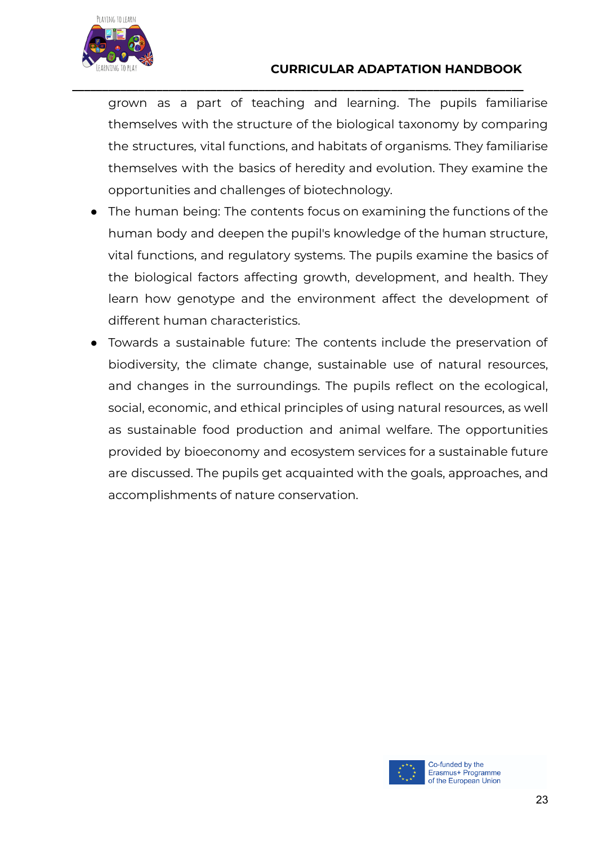

#### **CURRICULAR ADAPTATION HANDBOOK**

grown as a part of teaching and learning. The pupils familiarise themselves with the structure of the biological taxonomy by comparing the structures, vital functions, and habitats of organisms. They familiarise themselves with the basics of heredity and evolution. They examine the opportunities and challenges of biotechnology.

**\_\_\_\_\_\_\_\_\_\_\_\_\_\_\_\_\_\_\_\_\_\_\_\_\_\_\_\_\_\_\_\_\_\_\_\_\_\_\_\_\_\_\_\_\_\_\_\_\_\_\_\_\_\_\_\_\_\_\_\_\_\_\_\_\_\_\_\_\_\_\_\_\_\_\_**

- The human being: The contents focus on examining the functions of the human body and deepen the pupil's knowledge of the human structure, vital functions, and regulatory systems. The pupils examine the basics of the biological factors affecting growth, development, and health. They learn how genotype and the environment affect the development of different human characteristics.
- Towards a sustainable future: The contents include the preservation of biodiversity, the climate change, sustainable use of natural resources, and changes in the surroundings. The pupils reflect on the ecological, social, economic, and ethical principles of using natural resources, as well as sustainable food production and animal welfare. The opportunities provided by bioeconomy and ecosystem services for a sustainable future are discussed. The pupils get acquainted with the goals, approaches, and accomplishments of nature conservation.

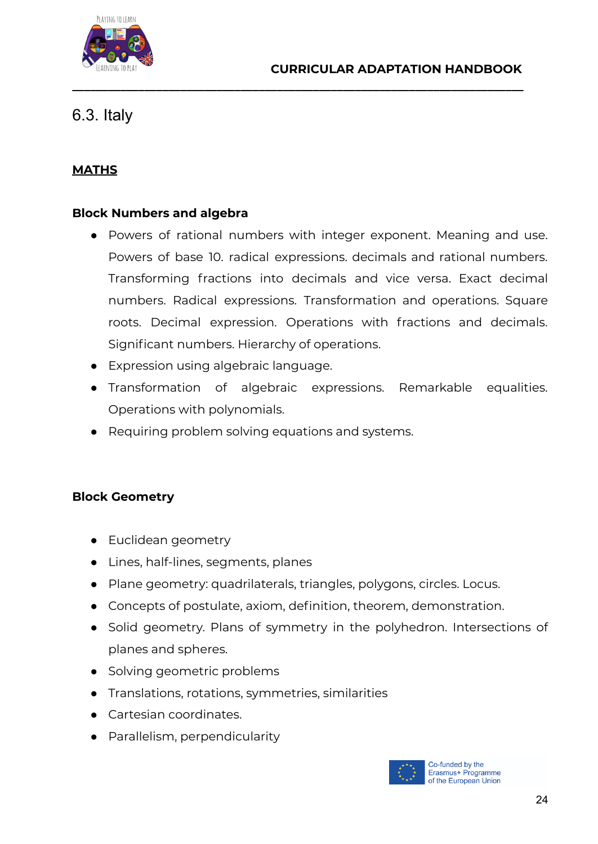

## <span id="page-23-0"></span>6.3. Italy

#### **MATHS**

#### **Block Numbers and algebra**

● Powers of rational numbers with integer exponent. Meaning and use. Powers of base 10. radical expressions. decimals and rational numbers. Transforming fractions into decimals and vice versa. Exact decimal numbers. Radical expressions. Transformation and operations. Square roots. Decimal expression. Operations with fractions and decimals. Significant numbers. Hierarchy of operations.

**\_\_\_\_\_\_\_\_\_\_\_\_\_\_\_\_\_\_\_\_\_\_\_\_\_\_\_\_\_\_\_\_\_\_\_\_\_\_\_\_\_\_\_\_\_\_\_\_\_\_\_\_\_\_\_\_\_\_\_\_\_\_\_\_\_\_\_\_\_\_\_\_\_\_\_**

- Expression using algebraic language.
- Transformation of algebraic expressions. Remarkable equalities. Operations with polynomials.
- Requiring problem solving equations and systems.

#### **Block Geometry**

- Euclidean geometry
- Lines, half-lines, segments, planes
- Plane geometry: quadrilaterals, triangles, polygons, circles. Locus.
- Concepts of postulate, axiom, definition, theorem, demonstration.
- Solid geometry. Plans of symmetry in the polyhedron. Intersections of planes and spheres.
- Solving geometric problems
- Translations, rotations, symmetries, similarities
- Cartesian coordinates.
- Parallelism, perpendicularity

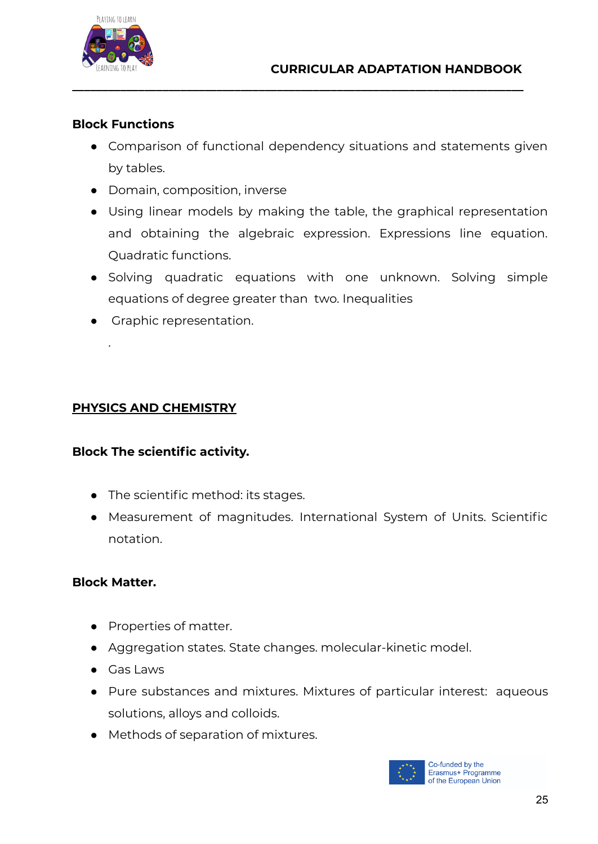

#### **Block Functions**

• Comparison of functional dependency situations and statements given by tables.

**\_\_\_\_\_\_\_\_\_\_\_\_\_\_\_\_\_\_\_\_\_\_\_\_\_\_\_\_\_\_\_\_\_\_\_\_\_\_\_\_\_\_\_\_\_\_\_\_\_\_\_\_\_\_\_\_\_\_\_\_\_\_\_\_\_\_\_\_\_\_\_\_\_\_\_**

- Domain, composition, inverse
- Using linear models by making the table, the graphical representation and obtaining the algebraic expression. Expressions line equation. Quadratic functions.
- Solving quadratic equations with one unknown. Solving simple equations of degree greater than two. Inequalities
- Graphic representation.

#### **PHYSICS AND CHEMISTRY**

#### **Block The scientific activity.**

- The scientific method: its stages.
- Measurement of magnitudes. International System of Units. Scientific notation.

#### **Block Matter.**

.

- Properties of matter.
- Aggregation states. State changes. molecular-kinetic model.
- Gas Laws
- Pure substances and mixtures. Mixtures of particular interest: aqueous solutions, alloys and colloids.
- Methods of separation of mixtures.

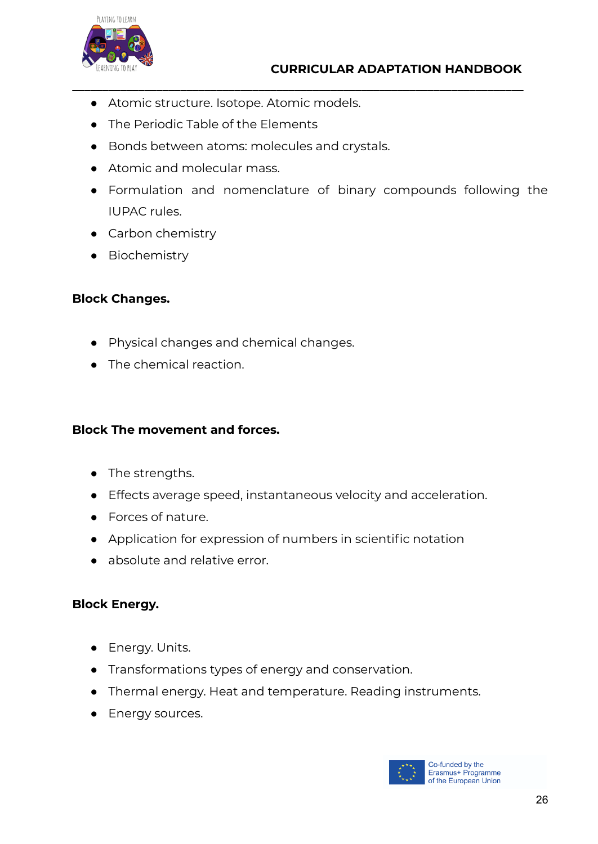

- Atomic structure. Isotope. Atomic models.
- The Periodic Table of the Elements
- Bonds between atoms: molecules and crystals.
- Atomic and molecular mass.
- Formulation and nomenclature of binary compounds following the IUPAC rules.

**\_\_\_\_\_\_\_\_\_\_\_\_\_\_\_\_\_\_\_\_\_\_\_\_\_\_\_\_\_\_\_\_\_\_\_\_\_\_\_\_\_\_\_\_\_\_\_\_\_\_\_\_\_\_\_\_\_\_\_\_\_\_\_\_\_\_\_\_\_\_\_\_\_\_\_**

- Carbon chemistry
- Biochemistry

#### **Block Changes.**

- Physical changes and chemical changes.
- The chemical reaction.

#### **Block The movement and forces.**

- The strengths.
- Effects average speed, instantaneous velocity and acceleration.
- Forces of nature.
- Application for expression of numbers in scientific notation
- absolute and relative error.

#### **Block Energy.**

- Energy. Units.
- Transformations types of energy and conservation.
- Thermal energy. Heat and temperature. Reading instruments.
- Energy sources.

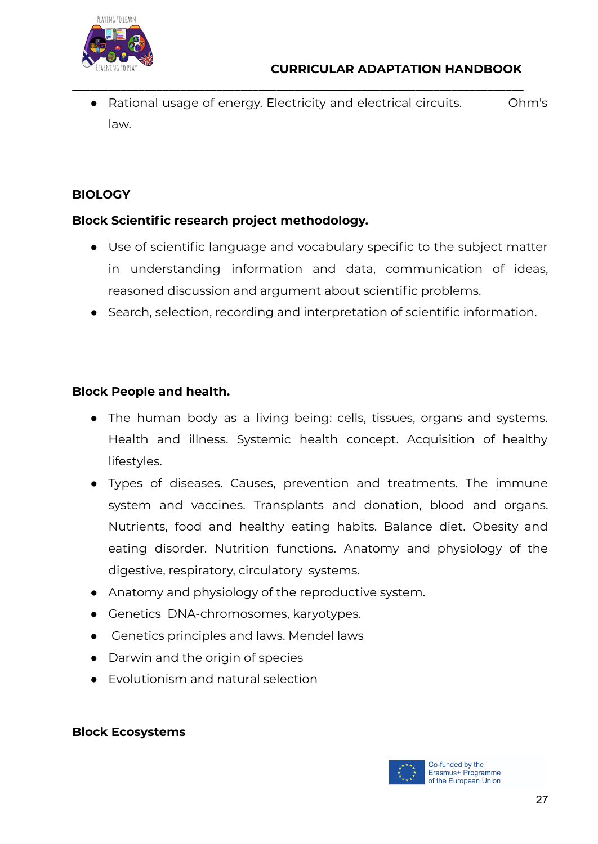

Rational usage of energy. Electricity and electrical circuits. Ohm's law.

**\_\_\_\_\_\_\_\_\_\_\_\_\_\_\_\_\_\_\_\_\_\_\_\_\_\_\_\_\_\_\_\_\_\_\_\_\_\_\_\_\_\_\_\_\_\_\_\_\_\_\_\_\_\_\_\_\_\_\_\_\_\_\_\_\_\_\_\_\_\_\_\_\_\_\_**

#### **BIOLOGY**

#### **Block Scientific research project methodology.**

- Use of scientific language and vocabulary specific to the subject matter in understanding information and data, communication of ideas, reasoned discussion and argument about scientific problems.
- Search, selection, recording and interpretation of scientific information.

#### **Block People and health.**

- The human body as a living being: cells, tissues, organs and systems. Health and illness. Systemic health concept. Acquisition of healthy lifestyles.
- Types of diseases. Causes, prevention and treatments. The immune system and vaccines. Transplants and donation, blood and organs. Nutrients, food and healthy eating habits. Balance diet. Obesity and eating disorder. Nutrition functions. Anatomy and physiology of the digestive, respiratory, circulatory systems.
- Anatomy and physiology of the reproductive system.
- Genetics DNA-chromosomes, karyotypes.
- Genetics principles and laws. Mendel laws
- Darwin and the origin of species
- Evolutionism and natural selection

#### **Block Ecosystems**

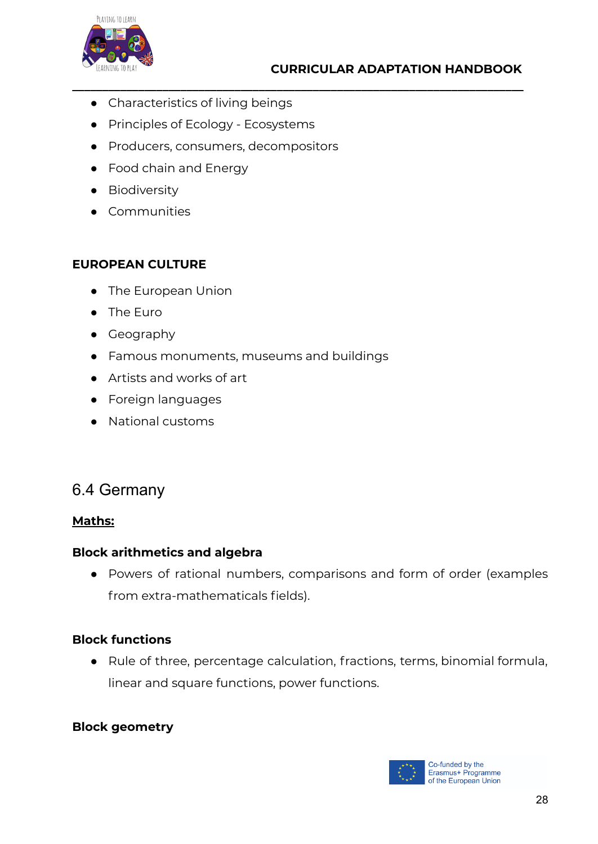

- Characteristics of living beings
- Principles of Ecology Ecosystems
- Producers, consumers, decompositors

**\_\_\_\_\_\_\_\_\_\_\_\_\_\_\_\_\_\_\_\_\_\_\_\_\_\_\_\_\_\_\_\_\_\_\_\_\_\_\_\_\_\_\_\_\_\_\_\_\_\_\_\_\_\_\_\_\_\_\_\_\_\_\_\_\_\_\_\_\_\_\_\_\_\_\_**

- Food chain and Energy
- **•** Biodiversity
- Communities

#### **EUROPEAN CULTURE**

- The European Union
- The Euro
- Geography
- Famous monuments, museums and buildings
- Artists and works of art
- Foreign languages
- National customs

## <span id="page-27-0"></span>6.4 Germany

#### **Maths:**

#### **Block arithmetics and algebra**

● Powers of rational numbers, comparisons and form of order (examples from extra-mathematicals fields).

#### **Block functions**

● Rule of three, percentage calculation, fractions, terms, binomial formula, linear and square functions, power functions.

#### **Block geometry**

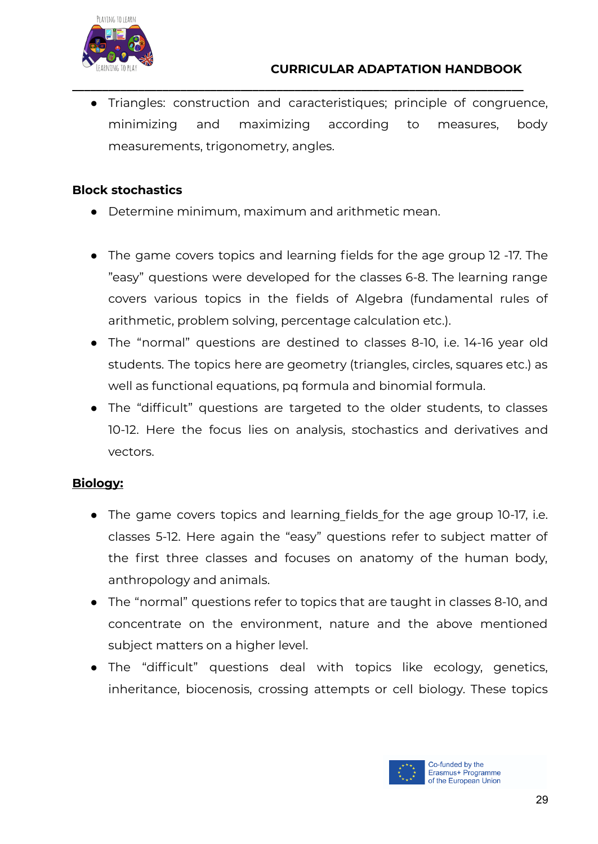

● Triangles: construction and caracteristiques; principle of congruence, minimizing and maximizing according to measures, body measurements, trigonometry, angles.

**\_\_\_\_\_\_\_\_\_\_\_\_\_\_\_\_\_\_\_\_\_\_\_\_\_\_\_\_\_\_\_\_\_\_\_\_\_\_\_\_\_\_\_\_\_\_\_\_\_\_\_\_\_\_\_\_\_\_\_\_\_\_\_\_\_\_\_\_\_\_\_\_\_\_\_**

#### **Block stochastics**

- Determine minimum, maximum and arithmetic mean.
- The game covers topics and learning fields for the age group 12 -17. The "easy" questions were developed for the classes 6-8. The learning range covers various topics in the fields of Algebra (fundamental rules of arithmetic, problem solving, percentage calculation etc.).
- The "normal" questions are destined to classes 8-10, i.e. 14-16 year old students. The topics here are geometry (triangles, circles, squares etc.) as well as functional equations, pq formula and binomial formula.
- The "difficult" questions are targeted to the older students, to classes 10-12. Here the focus lies on analysis, stochastics and derivatives and vectors.

#### **Biology:**

- The game covers topics and learning fields for the age group 10-17, i.e. classes 5-12. Here again the "easy" questions refer to subject matter of the first three classes and focuses on anatomy of the human body, anthropology and animals.
- The "normal" questions refer to topics that are taught in classes 8-10, and concentrate on the environment, nature and the above mentioned subject matters on a higher level.
- The "difficult" questions deal with topics like ecology, genetics, inheritance, biocenosis, crossing attempts or cell biology. These topics

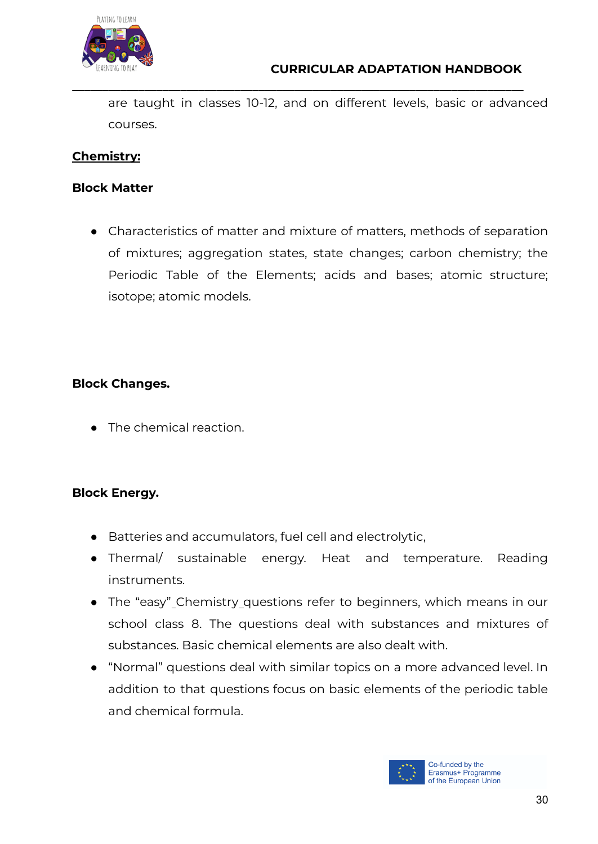

are taught in classes 10-12, and on different levels, basic or advanced courses.

**\_\_\_\_\_\_\_\_\_\_\_\_\_\_\_\_\_\_\_\_\_\_\_\_\_\_\_\_\_\_\_\_\_\_\_\_\_\_\_\_\_\_\_\_\_\_\_\_\_\_\_\_\_\_\_\_\_\_\_\_\_\_\_\_\_\_\_\_\_\_\_\_\_\_\_**

#### **Chemistry:**

#### **Block Matter**

● Characteristics of matter and mixture of matters, methods of separation of mixtures; aggregation states, state changes; carbon chemistry; the Periodic Table of the Elements; acids and bases; atomic structure; isotope; atomic models.

#### **Block Changes.**

● The chemical reaction.

#### **Block Energy.**

- Batteries and accumulators, fuel cell and electrolytic,
- Thermal/ sustainable energy. Heat and temperature. Reading instruments.
- The "easy" Chemistry questions refer to beginners, which means in our school class 8. The questions deal with substances and mixtures of substances. Basic chemical elements are also dealt with.
- "Normal" questions deal with similar topics on a more advanced level. In addition to that questions focus on basic elements of the periodic table and chemical formula.

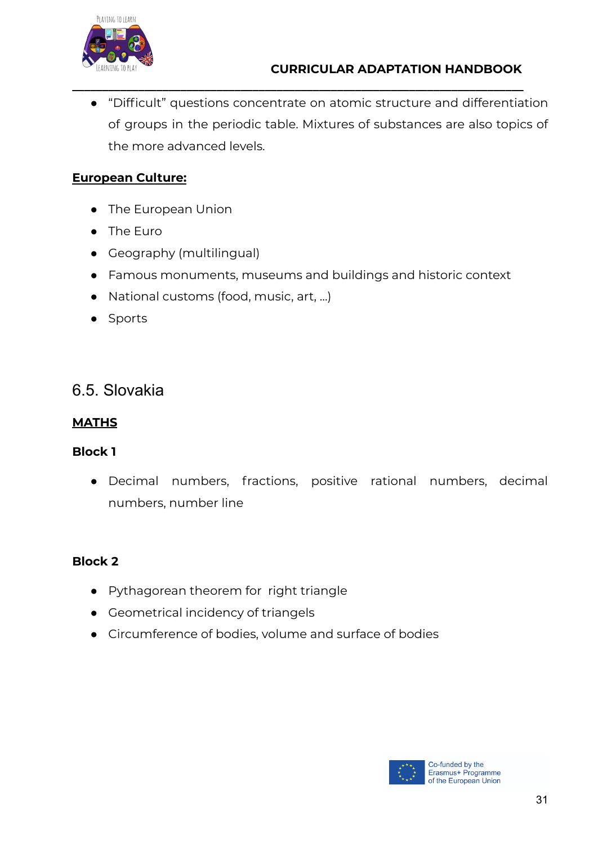

● "Difficult" questions concentrate on atomic structure and differentiation of groups in the periodic table. Mixtures of substances are also topics of the more advanced levels.

**\_\_\_\_\_\_\_\_\_\_\_\_\_\_\_\_\_\_\_\_\_\_\_\_\_\_\_\_\_\_\_\_\_\_\_\_\_\_\_\_\_\_\_\_\_\_\_\_\_\_\_\_\_\_\_\_\_\_\_\_\_\_\_\_\_\_\_\_\_\_\_\_\_\_\_**

#### **European Culture:**

- The European Union
- The Euro
- Geography (multilingual)
- Famous monuments, museums and buildings and historic context
- National customs (food, music, art, ...)
- Sports

### <span id="page-30-0"></span>6.5. Slovakia

#### **MATHS**

#### **Block 1**

● Decimal numbers, fractions, positive rational numbers, decimal numbers, number line

#### **Block 2**

- Pythagorean theorem for right triangle
- Geometrical incidency of triangels
- Circumference of bodies, volume and surface of bodies

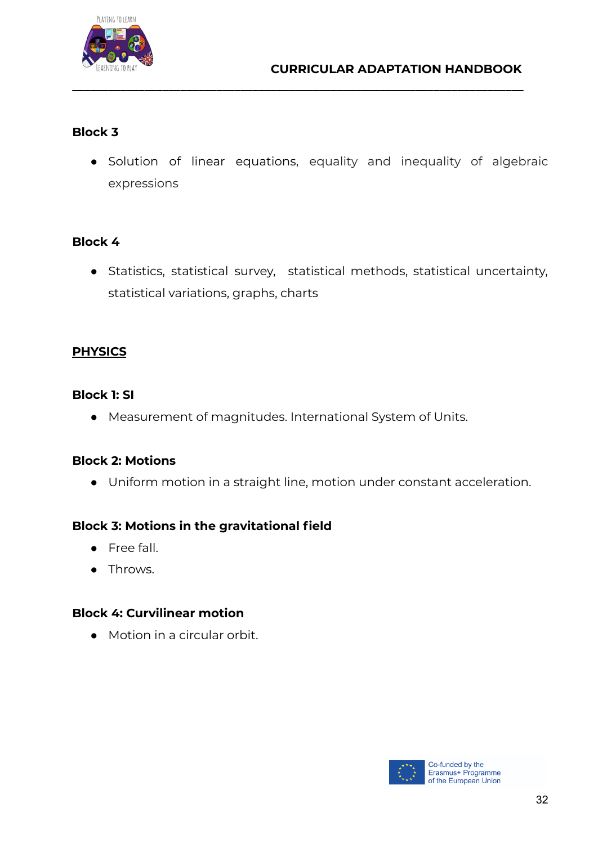

#### **Block 3**

● Solution of linear equations, equality and inequality of algebraic expressions

**\_\_\_\_\_\_\_\_\_\_\_\_\_\_\_\_\_\_\_\_\_\_\_\_\_\_\_\_\_\_\_\_\_\_\_\_\_\_\_\_\_\_\_\_\_\_\_\_\_\_\_\_\_\_\_\_\_\_\_\_\_\_\_\_\_\_\_\_\_\_\_\_\_\_\_**

#### **Block 4**

● Statistics, statistical survey, statistical methods, statistical uncertainty, statistical variations, graphs, charts

#### **PHYSICS**

#### **Block 1: SI**

● Measurement of magnitudes. International System of Units.

#### **Block 2: Motions**

● Uniform motion in a straight line, motion under constant acceleration.

#### **Block 3: Motions in the gravitational field**

- Free fall.
- Throws.

#### **Block 4: Curvilinear motion**

● Motion in a circular orbit.

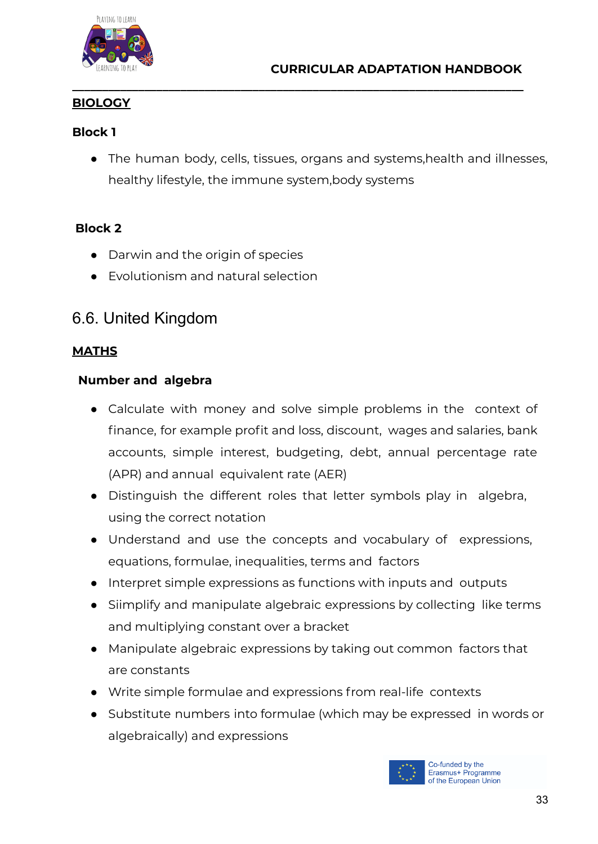

#### **BIOLOGY**

#### **Block 1**

● The human body, cells, tissues, organs and systems,health and illnesses, healthy lifestyle, the immune system,body systems

**\_\_\_\_\_\_\_\_\_\_\_\_\_\_\_\_\_\_\_\_\_\_\_\_\_\_\_\_\_\_\_\_\_\_\_\_\_\_\_\_\_\_\_\_\_\_\_\_\_\_\_\_\_\_\_\_\_\_\_\_\_\_\_\_\_\_\_\_\_\_\_\_\_\_\_**

#### **Block 2**

- Darwin and the origin of species
- Evolutionism and natural selection

## <span id="page-32-0"></span>6.6. United Kingdom

#### **MATHS**

#### **Number and algebra**

- **●** Calculate with money and solve simple problems in the context of finance, for example profit and loss, discount, wages and salaries, bank accounts, simple interest, budgeting, debt, annual percentage rate (APR) and annual equivalent rate (AER)
- **●** Distinguish the different roles that letter symbols play in algebra, using the correct notation
- **●** Understand and use the concepts and vocabulary of expressions, equations, formulae, inequalities, terms and factors
- **●** Interpret simple expressions as functions with inputs and outputs
- **●** Siimplify and manipulate algebraic expressions by collecting like terms and multiplying constant over a bracket
- **●** Manipulate algebraic expressions by taking out common factors that are constants
- **●** Write simple formulae and expressions from real-life contexts
- **●** Substitute numbers into formulae (which may be expressed in words or algebraically) and expressions

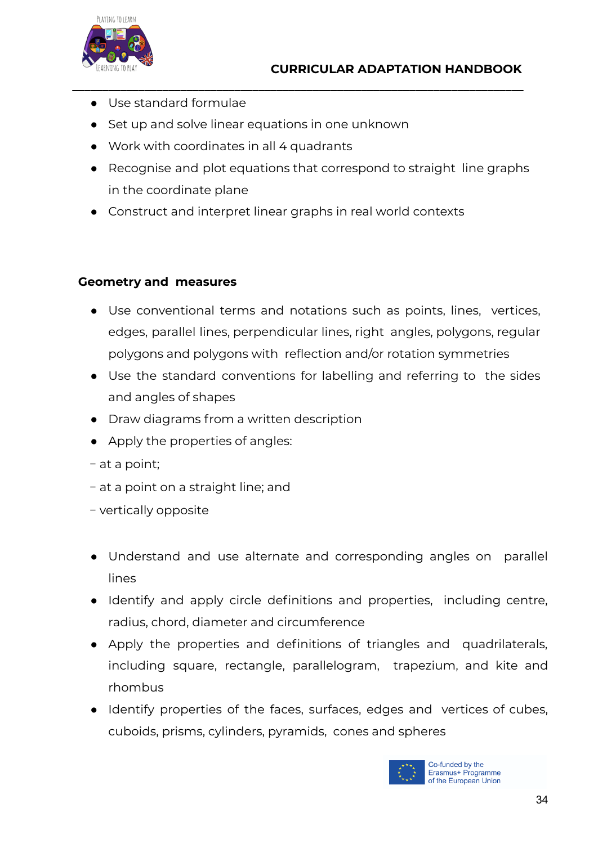

- **●** Use standard formulae
- **●** Set up and solve linear equations in one unknown
- **●** Work with coordinates in all 4 quadrants
- **●** Recognise and plot equations that correspond to straight line graphs in the coordinate plane

**\_\_\_\_\_\_\_\_\_\_\_\_\_\_\_\_\_\_\_\_\_\_\_\_\_\_\_\_\_\_\_\_\_\_\_\_\_\_\_\_\_\_\_\_\_\_\_\_\_\_\_\_\_\_\_\_\_\_\_\_\_\_\_\_\_\_\_\_\_\_\_\_\_\_\_**

**●** Construct and interpret linear graphs in real world contexts

#### **Geometry and measures**

- Use conventional terms and notations such as points, lines, vertices, edges, parallel lines, perpendicular lines, right angles, polygons, regular polygons and polygons with reflection and/or rotation symmetries
- Use the standard conventions for labelling and referring to the sides and angles of shapes
- Draw diagrams from a written description
- Apply the properties of angles:
- − at a point;
- − at a point on a straight line; and
- − vertically opposite
- Understand and use alternate and corresponding angles on parallel lines
- Identify and apply circle definitions and properties, including centre, radius, chord, diameter and circumference
- Apply the properties and definitions of triangles and quadrilaterals, including square, rectangle, parallelogram, trapezium, and kite and rhombus
- Identify properties of the faces, surfaces, edges and vertices of cubes, cuboids, prisms, cylinders, pyramids, cones and spheres

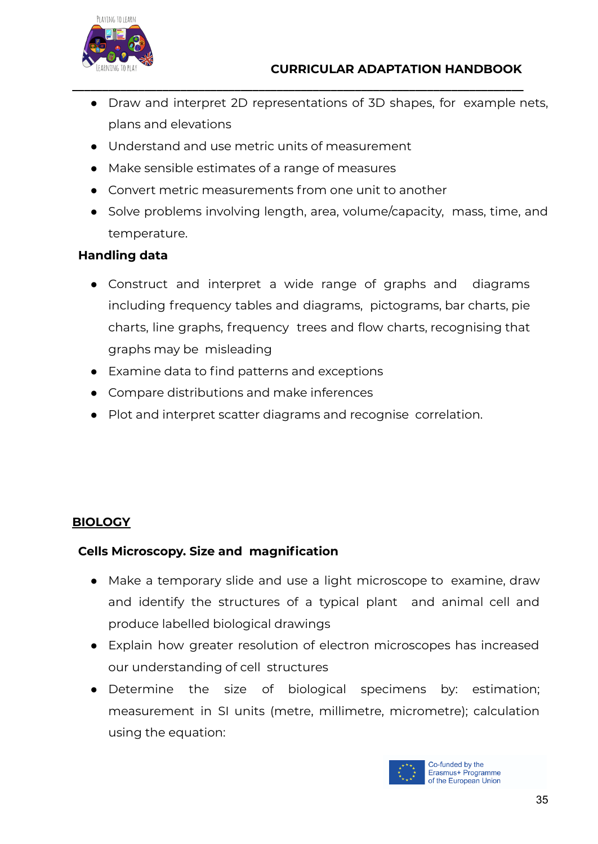

● Draw and interpret 2D representations of 3D shapes, for example nets, plans and elevations

**\_\_\_\_\_\_\_\_\_\_\_\_\_\_\_\_\_\_\_\_\_\_\_\_\_\_\_\_\_\_\_\_\_\_\_\_\_\_\_\_\_\_\_\_\_\_\_\_\_\_\_\_\_\_\_\_\_\_\_\_\_\_\_\_\_\_\_\_\_\_\_\_\_\_\_**

- Understand and use metric units of measurement
- Make sensible estimates of a range of measures
- Convert metric measurements from one unit to another
- Solve problems involving length, area, volume/capacity, mass, time, and temperature.

#### **Handling data**

- Construct and interpret a wide range of graphs and diagrams including frequency tables and diagrams, pictograms, bar charts, pie charts, line graphs, frequency trees and flow charts, recognising that graphs may be misleading
- Examine data to find patterns and exceptions
- Compare distributions and make inferences
- Plot and interpret scatter diagrams and recognise correlation.

#### **BIOLOGY**

#### **Cells Microscopy. Size and magnification**

- Make a temporary slide and use a light microscope to examine, draw and identify the structures of a typical plant and animal cell and produce labelled biological drawings
- Explain how greater resolution of electron microscopes has increased our understanding of cell structures
- Determine the size of biological specimens by: estimation; measurement in SI units (metre, millimetre, micrometre); calculation using the equation:

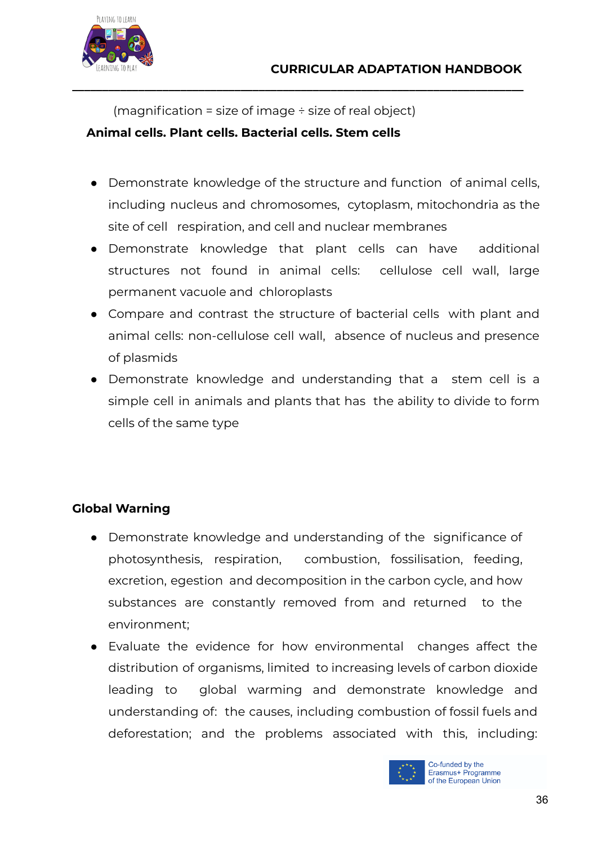

(magnification = size of image  $\div$  size of real object)

**\_\_\_\_\_\_\_\_\_\_\_\_\_\_\_\_\_\_\_\_\_\_\_\_\_\_\_\_\_\_\_\_\_\_\_\_\_\_\_\_\_\_\_\_\_\_\_\_\_\_\_\_\_\_\_\_\_\_\_\_\_\_\_\_\_\_\_\_\_\_\_\_\_\_\_**

#### **Animal cells. Plant cells. Bacterial cells. Stem cells**

- Demonstrate knowledge of the structure and function of animal cells, including nucleus and chromosomes, cytoplasm, mitochondria as the site of cell respiration, and cell and nuclear membranes
- Demonstrate knowledge that plant cells can have additional structures not found in animal cells: cellulose cell wall, large permanent vacuole and chloroplasts
- Compare and contrast the structure of bacterial cells with plant and animal cells: non-cellulose cell wall, absence of nucleus and presence of plasmids
- Demonstrate knowledge and understanding that a stem cell is a simple cell in animals and plants that has the ability to divide to form cells of the same type

#### **Global Warning**

- Demonstrate knowledge and understanding of the significance of photosynthesis, respiration, combustion, fossilisation, feeding, excretion, egestion and decomposition in the carbon cycle, and how substances are constantly removed from and returned to the environment;
- Evaluate the evidence for how environmental changes affect the distribution of organisms, limited to increasing levels of carbon dioxide leading to global warming and demonstrate knowledge and understanding of: the causes, including combustion of fossil fuels and deforestation; and the problems associated with this, including:

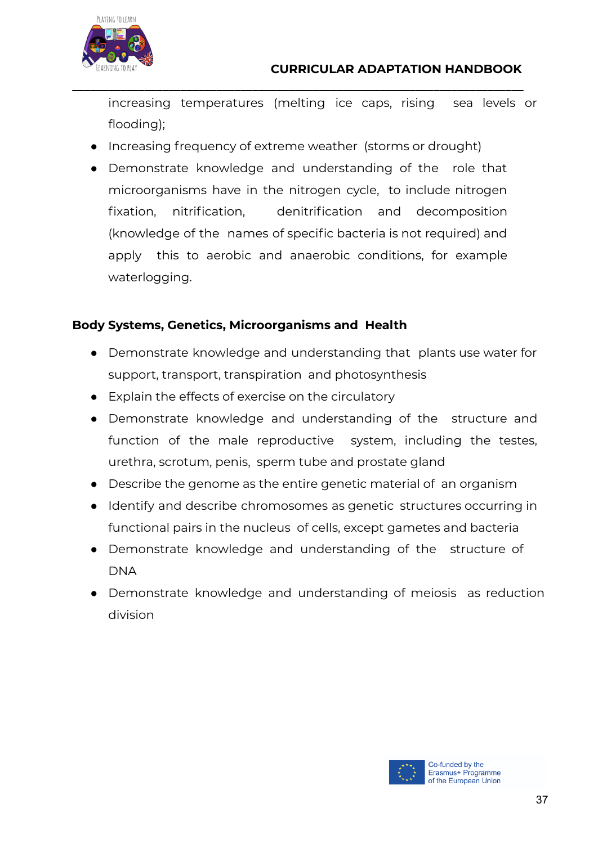

increasing temperatures (melting ice caps, rising sea levels or flooding);

• Increasing frequency of extreme weather (storms or drought)

**\_\_\_\_\_\_\_\_\_\_\_\_\_\_\_\_\_\_\_\_\_\_\_\_\_\_\_\_\_\_\_\_\_\_\_\_\_\_\_\_\_\_\_\_\_\_\_\_\_\_\_\_\_\_\_\_\_\_\_\_\_\_\_\_\_\_\_\_\_\_\_\_\_\_\_**

● Demonstrate knowledge and understanding of the role that microorganisms have in the nitrogen cycle, to include nitrogen fixation, nitrification, denitrification and decomposition (knowledge of the names of specific bacteria is not required) and apply this to aerobic and anaerobic conditions, for example waterlogging.

#### **Body Systems, Genetics, Microorganisms and Health**

- Demonstrate knowledge and understanding that plants use water for support, transport, transpiration and photosynthesis
- Explain the effects of exercise on the circulatory
- Demonstrate knowledge and understanding of the structure and function of the male reproductive system, including the testes, urethra, scrotum, penis, sperm tube and prostate gland
- Describe the genome as the entire genetic material of an organism
- Identify and describe chromosomes as genetic structures occurring in functional pairs in the nucleus of cells, except gametes and bacteria
- Demonstrate knowledge and understanding of the structure of DNA
- Demonstrate knowledge and understanding of meiosis as reduction division

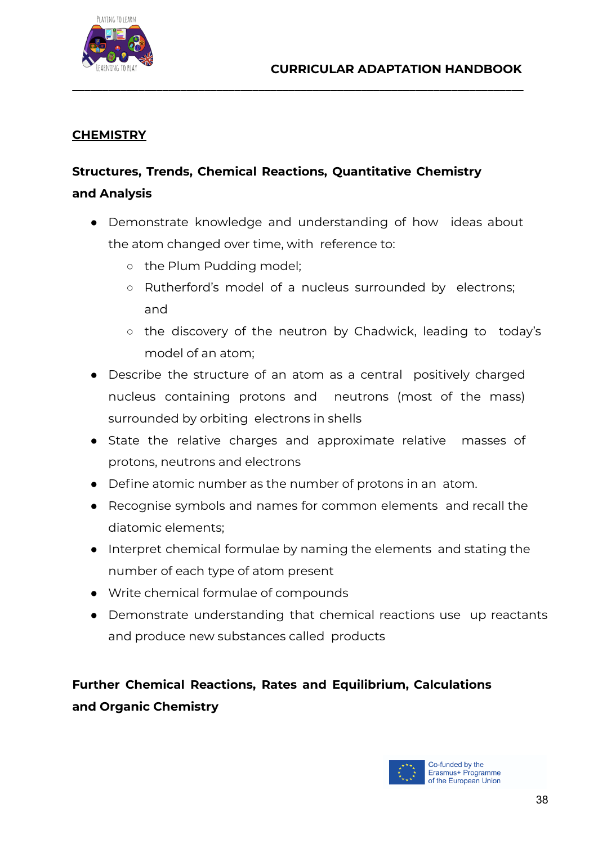

#### **CHEMISTRY**

## **Structures, Trends, Chemical Reactions, Quantitative Chemistry and Analysis**

• Demonstrate knowledge and understanding of how ideas about the atom changed over time, with reference to:

**\_\_\_\_\_\_\_\_\_\_\_\_\_\_\_\_\_\_\_\_\_\_\_\_\_\_\_\_\_\_\_\_\_\_\_\_\_\_\_\_\_\_\_\_\_\_\_\_\_\_\_\_\_\_\_\_\_\_\_\_\_\_\_\_\_\_\_\_\_\_\_\_\_\_\_**

- the Plum Pudding model:
- Rutherford's model of a nucleus surrounded by electrons; and
- the discovery of the neutron by Chadwick, leading to today's model of an atom;
- Describe the structure of an atom as a central positively charged nucleus containing protons and neutrons (most of the mass) surrounded by orbiting electrons in shells
- State the relative charges and approximate relative masses of protons, neutrons and electrons
- Define atomic number as the number of protons in an atom.
- Recognise symbols and names for common elements and recall the diatomic elements;
- Interpret chemical formulae by naming the elements and stating the number of each type of atom present
- Write chemical formulae of compounds
- Demonstrate understanding that chemical reactions use up reactants and produce new substances called products

## **Further Chemical Reactions, Rates and Equilibrium, Calculations and Organic Chemistry**

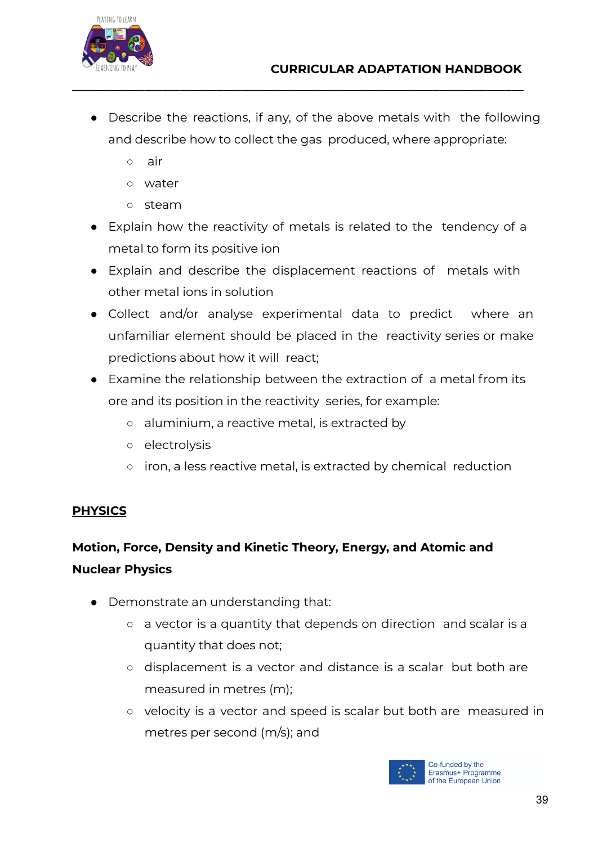

• Describe the reactions, if any, of the above metals with the following and describe how to collect the gas produced, where appropriate:

**\_\_\_\_\_\_\_\_\_\_\_\_\_\_\_\_\_\_\_\_\_\_\_\_\_\_\_\_\_\_\_\_\_\_\_\_\_\_\_\_\_\_\_\_\_\_\_\_\_\_\_\_\_\_\_\_\_\_\_\_\_\_\_\_\_\_\_\_\_\_\_\_\_\_\_**

- air
- water
- steam
- Explain how the reactivity of metals is related to the tendency of a metal to form its positive ion
- Explain and describe the displacement reactions of metals with other metal ions in solution
- Collect and/or analyse experimental data to predict where an unfamiliar element should be placed in the reactivity series or make predictions about how it will react;
- Examine the relationship between the extraction of a metal from its ore and its position in the reactivity series, for example:
	- aluminium, a reactive metal, is extracted by
	- electrolysis
	- iron, a less reactive metal, is extracted by chemical reduction

#### **PHYSICS**

## **Motion, Force, Density and Kinetic Theory, Energy, and Atomic and Nuclear Physics**

- Demonstrate an understanding that:
	- a vector is a quantity that depends on direction and scalar is a quantity that does not;
	- displacement is a vector and distance is a scalar but both are measured in metres (m);
	- velocity is a vector and speed is scalar but both are measured in metres per second (m/s); and

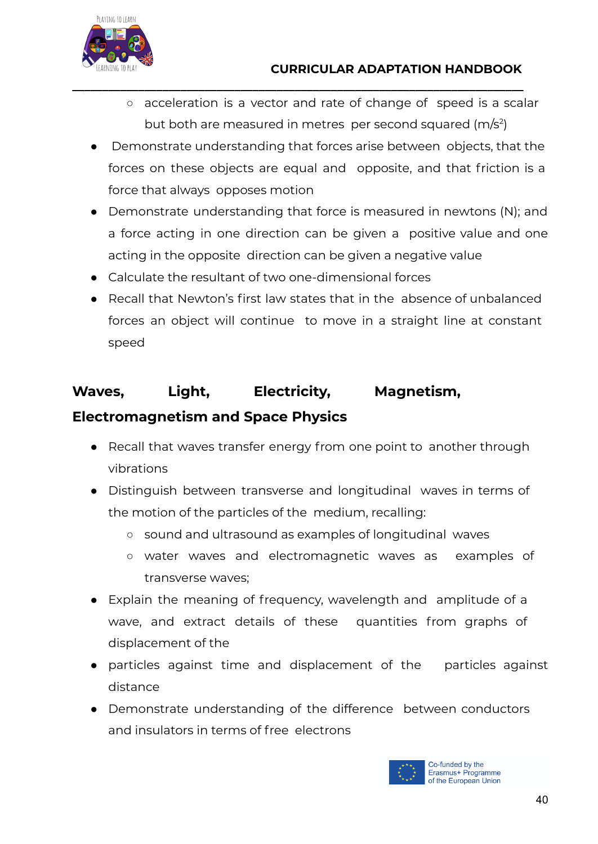- acceleration is a vector and rate of change of speed is a scalar but both are measured in metres per second squared (m/s<sup>2</sup>)
- Demonstrate understanding that forces arise between objects, that the forces on these objects are equal and opposite, and that friction is a force that always opposes motion

**\_\_\_\_\_\_\_\_\_\_\_\_\_\_\_\_\_\_\_\_\_\_\_\_\_\_\_\_\_\_\_\_\_\_\_\_\_\_\_\_\_\_\_\_\_\_\_\_\_\_\_\_\_\_\_\_\_\_\_\_\_\_\_\_\_\_\_\_\_\_\_\_\_\_\_**

- Demonstrate understanding that force is measured in newtons (N); and a force acting in one direction can be given a positive value and one acting in the opposite direction can be given a negative value
- Calculate the resultant of two one-dimensional forces
- Recall that Newton's first law states that in the absence of unbalanced forces an object will continue to move in a straight line at constant speed

## **Waves, Light, Electricity, Magnetism, Electromagnetism and Space Physics**

- Recall that waves transfer energy from one point to another through vibrations
- Distinguish between transverse and longitudinal waves in terms of the motion of the particles of the medium, recalling:
	- sound and ultrasound as examples of longitudinal waves
	- water waves and electromagnetic waves as examples of transverse waves;
- Explain the meaning of frequency, wavelength and amplitude of a wave, and extract details of these quantities from graphs of displacement of the
- particles against time and displacement of the particles against distance
- Demonstrate understanding of the difference between conductors and insulators in terms of free electrons

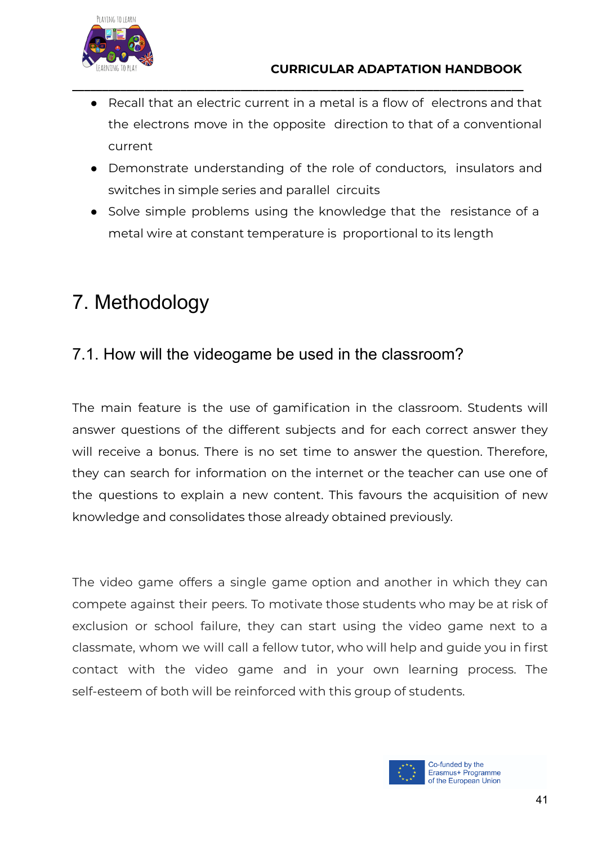Recall that an electric current in a metal is a flow of electrons and that the electrons move in the opposite direction to that of a conventional current

**\_\_\_\_\_\_\_\_\_\_\_\_\_\_\_\_\_\_\_\_\_\_\_\_\_\_\_\_\_\_\_\_\_\_\_\_\_\_\_\_\_\_\_\_\_\_\_\_\_\_\_\_\_\_\_\_\_\_\_\_\_\_\_\_\_\_\_\_\_\_\_\_\_\_\_**

- Demonstrate understanding of the role of conductors, insulators and switches in simple series and parallel circuits
- Solve simple problems using the knowledge that the resistance of a metal wire at constant temperature is proportional to its length

# <span id="page-40-0"></span>7. Methodology

## <span id="page-40-1"></span>7.1. How will the videogame be used in the classroom?

The main feature is the use of gamification in the classroom. Students will answer questions of the different subjects and for each correct answer they will receive a bonus. There is no set time to answer the question. Therefore, they can search for information on the internet or the teacher can use one of the questions to explain a new content. This favours the acquisition of new knowledge and consolidates those already obtained previously.

The video game offers a single game option and another in which they can compete against their peers. To motivate those students who may be at risk of exclusion or school failure, they can start using the video game next to a classmate, whom we will call a fellow tutor, who will help and guide you in first contact with the video game and in your own learning process. The self-esteem of both will be reinforced with this group of students.

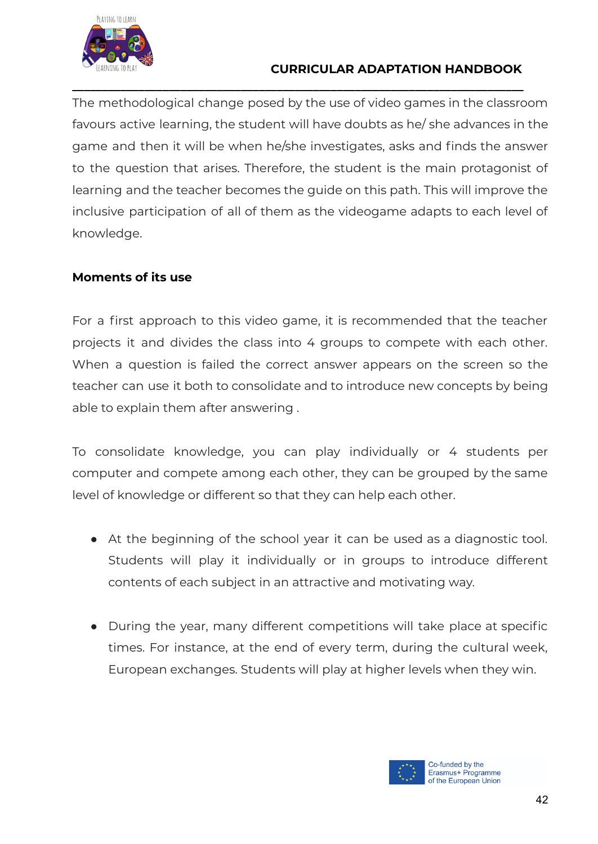

#### **CURRICULAR ADAPTATION HANDBOOK**

The methodological change posed by the use of video games in the classroom favours active learning, the student will have doubts as he/ she advances in the game and then it will be when he/she investigates, asks and finds the answer to the question that arises. Therefore, the student is the main protagonist of learning and the teacher becomes the guide on this path. This will improve the inclusive participation of all of them as the videogame adapts to each level of knowledge.

**\_\_\_\_\_\_\_\_\_\_\_\_\_\_\_\_\_\_\_\_\_\_\_\_\_\_\_\_\_\_\_\_\_\_\_\_\_\_\_\_\_\_\_\_\_\_\_\_\_\_\_\_\_\_\_\_\_\_\_\_\_\_\_\_\_\_\_\_\_\_\_\_\_\_\_**

#### **Moments of its use**

For a first approach to this video game, it is recommended that the teacher projects it and divides the class into 4 groups to compete with each other. When a question is failed the correct answer appears on the screen so the teacher can use it both to consolidate and to introduce new concepts by being able to explain them after answering .

To consolidate knowledge, you can play individually or 4 students per computer and compete among each other, they can be grouped by the same level of knowledge or different so that they can help each other.

- At the beginning of the school year it can be used as a diagnostic tool. Students will play it individually or in groups to introduce different contents of each subject in an attractive and motivating way.
- During the year, many different competitions will take place at specific times. For instance, at the end of every term, during the cultural week, European exchanges. Students will play at higher levels when they win.

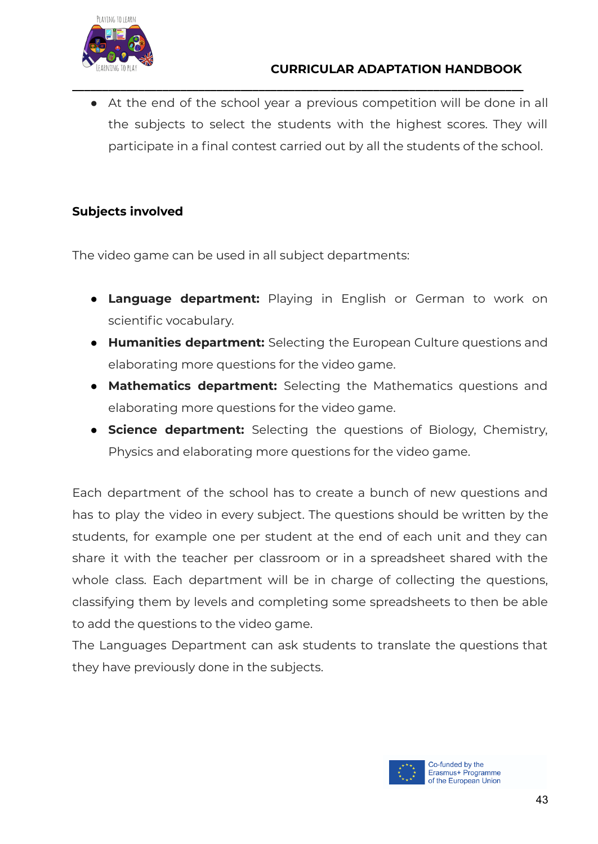

• At the end of the school year a previous competition will be done in all the subjects to select the students with the highest scores. They will participate in a final contest carried out by all the students of the school.

**\_\_\_\_\_\_\_\_\_\_\_\_\_\_\_\_\_\_\_\_\_\_\_\_\_\_\_\_\_\_\_\_\_\_\_\_\_\_\_\_\_\_\_\_\_\_\_\_\_\_\_\_\_\_\_\_\_\_\_\_\_\_\_\_\_\_\_\_\_\_\_\_\_\_\_**

#### **Subjects involved**

The video game can be used in all subject departments:

- **Language department:** Playing in English or German to work on scientific vocabulary.
- **Humanities department:** Selecting the European Culture questions and elaborating more questions for the video game.
- **Mathematics department:** Selecting the Mathematics questions and elaborating more questions for the video game.
- **Science department:** Selecting the questions of Biology, Chemistry, Physics and elaborating more questions for the video game.

Each department of the school has to create a bunch of new questions and has to play the video in every subject. The questions should be written by the students, for example one per student at the end of each unit and they can share it with the teacher per classroom or in a spreadsheet shared with the whole class. Each department will be in charge of collecting the questions, classifying them by levels and completing some spreadsheets to then be able to add the questions to the video game.

The Languages Department can ask students to translate the questions that they have previously done in the subjects.

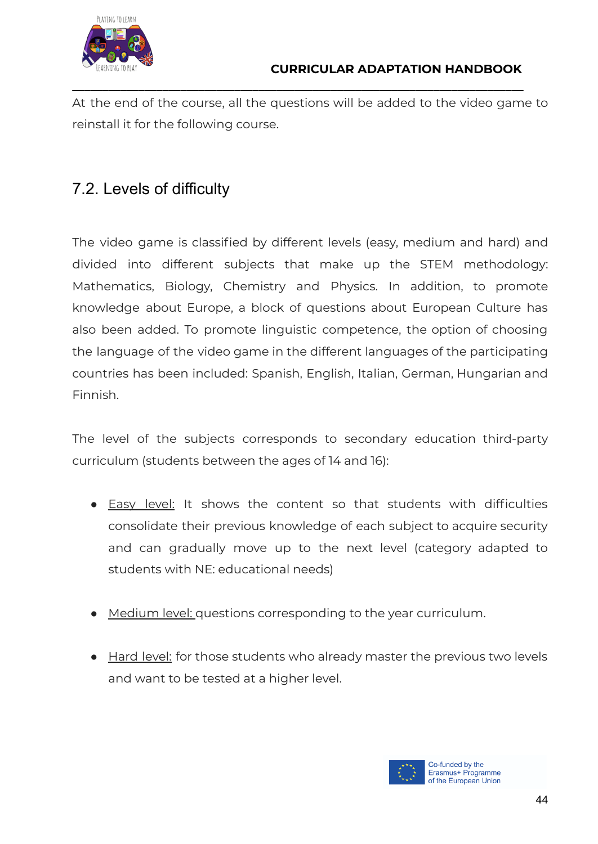

At the end of the course, all the questions will be added to the video game to reinstall it for the following course.

**\_\_\_\_\_\_\_\_\_\_\_\_\_\_\_\_\_\_\_\_\_\_\_\_\_\_\_\_\_\_\_\_\_\_\_\_\_\_\_\_\_\_\_\_\_\_\_\_\_\_\_\_\_\_\_\_\_\_\_\_\_\_\_\_\_\_\_\_\_\_\_\_\_\_\_**

# <span id="page-43-0"></span>7.2. Levels of difficulty

The video game is classified by different levels (easy, medium and hard) and divided into different subjects that make up the STEM methodology: Mathematics, Biology, Chemistry and Physics. In addition, to promote knowledge about Europe, a block of questions about European Culture has also been added. To promote linguistic competence, the option of choosing the language of the video game in the different languages of the participating countries has been included: Spanish, English, Italian, German, Hungarian and Finnish.

The level of the subjects corresponds to secondary education third-party curriculum (students between the ages of 14 and 16):

- Easy level: It shows the content so that students with difficulties consolidate their previous knowledge of each subject to acquire security and can gradually move up to the next level (category adapted to students with NE: educational needs)
- Medium level: questions corresponding to the year curriculum.
- Hard level: for those students who already master the previous two levels and want to be tested at a higher level.

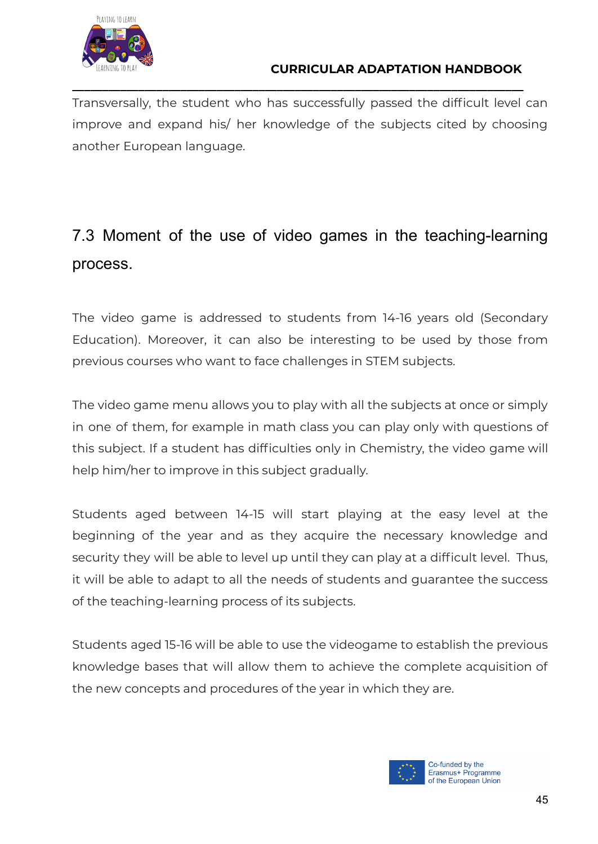

Transversally, the student who has successfully passed the difficult level can improve and expand his/ her knowledge of the subjects cited by choosing another European language.

**\_\_\_\_\_\_\_\_\_\_\_\_\_\_\_\_\_\_\_\_\_\_\_\_\_\_\_\_\_\_\_\_\_\_\_\_\_\_\_\_\_\_\_\_\_\_\_\_\_\_\_\_\_\_\_\_\_\_\_\_\_\_\_\_\_\_\_\_\_\_\_\_\_\_\_**

# <span id="page-44-0"></span>7.3 Moment of the use of video games in the teaching-learning process.

The video game is addressed to students from 14-16 years old (Secondary Education). Moreover, it can also be interesting to be used by those from previous courses who want to face challenges in STEM subjects.

The video game menu allows you to play with all the subjects at once or simply in one of them, for example in math class you can play only with questions of this subject. If a student has difficulties only in Chemistry, the video game will help him/her to improve in this subject gradually.

Students aged between 14-15 will start playing at the easy level at the beginning of the year and as they acquire the necessary knowledge and security they will be able to level up until they can play at a difficult level. Thus, it will be able to adapt to all the needs of students and guarantee the success of the teaching-learning process of its subjects.

Students aged 15-16 will be able to use the videogame to establish the previous knowledge bases that will allow them to achieve the complete acquisition of the new concepts and procedures of the year in which they are.